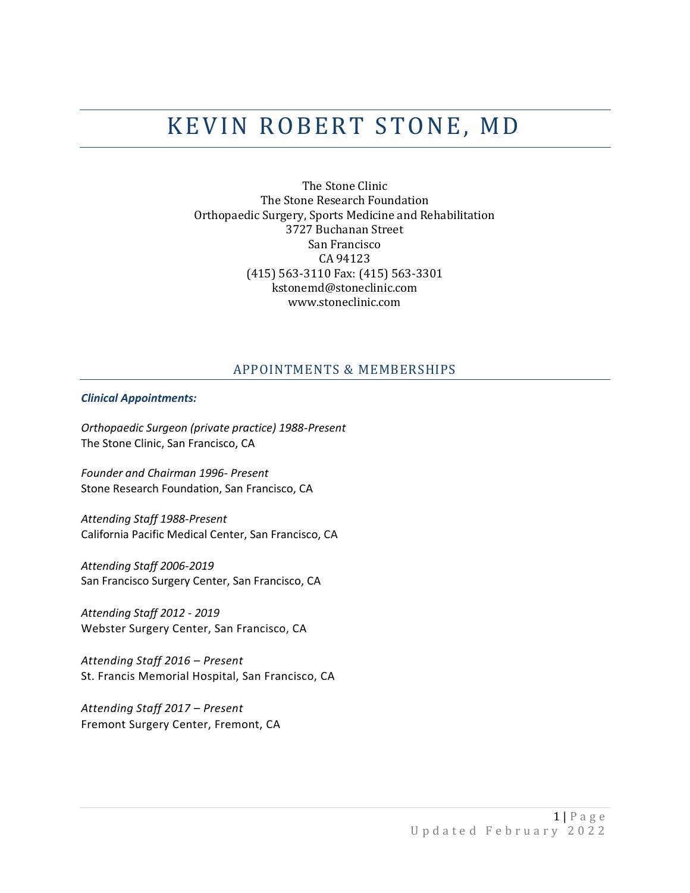# KEVIN ROBERT STONE, MD

The Stone Clinic The Stone Research Foundation Orthopaedic Surgery, Sports Medicine and Rehabilitation 3727 Buchanan Street San Francisco CA 94123 (415) 563-3110 Fax: (415) 563-3301 kstonemd@stoneclinic.com www.stoneclinic.com

## APPOINTMENTS & MEMBERSHIPS

#### *Clinical Appointments:*

*Orthopaedic Surgeon (private practice) 1988-Present* The Stone Clinic, San Francisco, CA

*Founder and Chairman 1996- Present* Stone Research Foundation, San Francisco, CA

*Attending Staff 1988-Present* California Pacific Medical Center, San Francisco, CA

*Attending Staff 2006-2019* San Francisco Surgery Center, San Francisco, CA

*Attending Staff 2012 - 2019* Webster Surgery Center, San Francisco, CA

*Attending Staff 2016 – Present* St. Francis Memorial Hospital, San Francisco, CA

*Attending Staff 2017 – Present* Fremont Surgery Center, Fremont, CA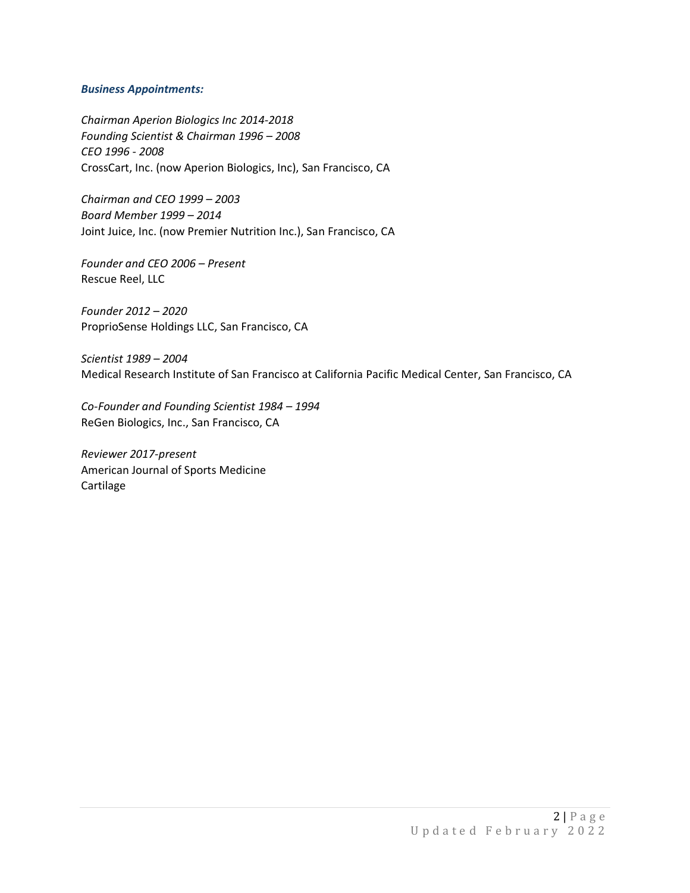#### *Business Appointments:*

*Chairman Aperion Biologics Inc 2014-2018 Founding Scientist & Chairman 1996 – 2008 CEO 1996 - 2008* CrossCart, Inc. (now Aperion Biologics, Inc), San Francisco, CA

*Chairman and CEO 1999 – 2003 Board Member 1999 – 2014* Joint Juice, Inc. (now Premier Nutrition Inc.), San Francisco, CA

*Founder and CEO 2006 – Present* Rescue Reel, LLC

*Founder 2012 – 2020* ProprioSense Holdings LLC, San Francisco, CA

*Scientist 1989 – 2004* Medical Research Institute of San Francisco at California Pacific Medical Center, San Francisco, CA

*Co-Founder and Founding Scientist 1984 – 1994* ReGen Biologics, Inc., San Francisco, CA

*Reviewer 2017-present* American Journal of Sports Medicine Cartilage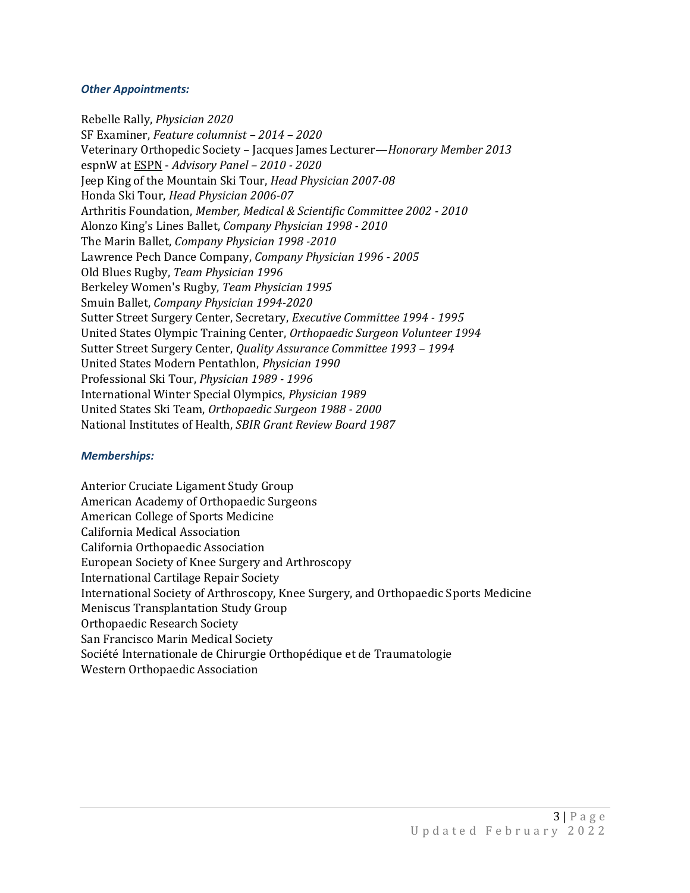#### *Other Appointments:*

Rebelle Rally, *Physician 2020* SF Examiner, *Feature columnist – 2014 – 2020* Veterinary Orthopedic Society – Jacques James Lecturer—*Honorary Member 2013* espnW a[t ESPN](http://www.linkedin.com/companies/espn) - *Advisory Panel – 2010 - 2020* Jeep King of the Mountain Ski Tour, *Head Physician 2007-08* Honda Ski Tour, *Head Physician 2006-07* Arthritis Foundation, *Member, Medical & Scientific Committee 2002 - 2010* Alonzo King's Lines Ballet, *Company Physician 1998 - 2010* The Marin Ballet, *Company Physician 1998 -2010*  Lawrence Pech Dance Company, *Company Physician 1996 - 2005* Old Blues Rugby, *Team Physician 1996* Berkeley Women's Rugby, *Team Physician 1995* Smuin Ballet, *Company Physician 1994-2020* Sutter Street Surgery Center, Secretary, *Executive Committee 1994 - 1995* United States Olympic Training Center, *Orthopaedic Surgeon Volunteer 1994* Sutter Street Surgery Center, *Quality Assurance Committee 1993 – 1994* United States Modern Pentathlon, *Physician 1990* Professional Ski Tour, *Physician 1989 - 1996*  International Winter Special Olympics, *Physician 1989* United States Ski Team, *Orthopaedic Surgeon 1988 - 2000* National Institutes of Health, *SBIR Grant Review Board 1987*

#### *Memberships:*

Anterior Cruciate Ligament Study Group American Academy of Orthopaedic Surgeons American College of Sports Medicine California Medical Association California Orthopaedic Association European Society of Knee Surgery and Arthroscopy International Cartilage Repair Society International Society of Arthroscopy, Knee Surgery, and Orthopaedic Sports Medicine Meniscus Transplantation Study Group Orthopaedic Research Society San Francisco Marin Medical Society Société Internationale de Chirurgie Orthopédique et de Traumatologie Western Orthopaedic Association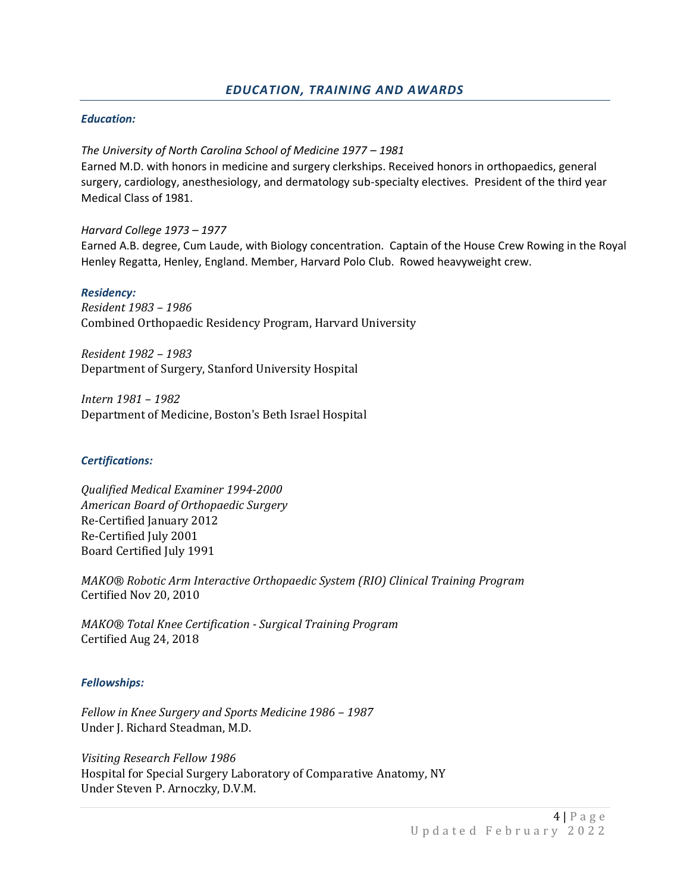## *Education:*

*The University of North Carolina School of Medicine 1977 – 1981* Earned M.D. with honors in medicine and surgery clerkships. Received honors in orthopaedics, general surgery, cardiology, anesthesiology, and dermatology sub-specialty electives. President of the third year Medical Class of 1981.

*Harvard College 1973 – 1977* Earned A.B. degree, Cum Laude, with Biology concentration. Captain of the House Crew Rowing in the Royal Henley Regatta, Henley, England. Member, Harvard Polo Club. Rowed heavyweight crew.

#### *Residency:*

*Resident 1983 – 1986* Combined Orthopaedic Residency Program, Harvard University

*Resident 1982 – 1983* Department of Surgery, Stanford University Hospital

*Intern 1981 – 1982*  Department of Medicine, Boston's Beth Israel Hospital

#### *Certifications:*

*Qualified Medical Examiner 1994-2000 American Board of Orthopaedic Surgery* Re-Certified January 2012 Re-Certified July 2001 Board Certified July 1991

*MAKO® Robotic Arm Interactive Orthopaedic System (RIO) Clinical Training Program* Certified Nov 20, 2010

*MAKO® Total Knee Certification - Surgical Training Program* Certified Aug 24, 2018

#### *Fellowships:*

*Fellow in Knee Surgery and Sports Medicine 1986 – 1987* Under J. Richard Steadman, M.D.

*Visiting Research Fellow 1986* Hospital for Special Surgery Laboratory of Comparative Anatomy, NY Under Steven P. Arnoczky, D.V.M.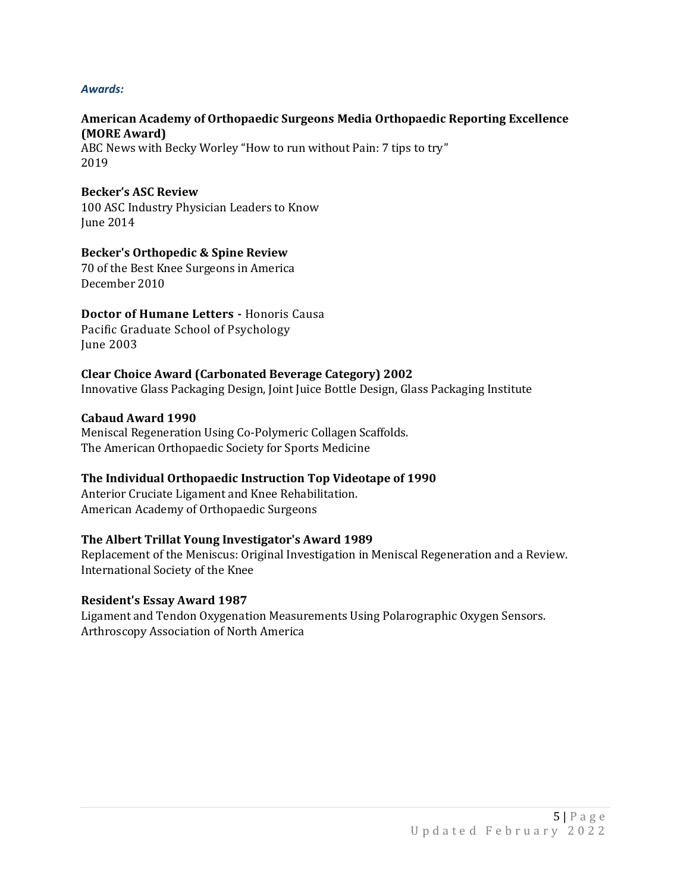## *Awards:*

## **American Academy of Orthopaedic Surgeons Media Orthopaedic Reporting Excellence (MORE Award)**

ABC News with Becky Worley "How to run without Pain: 7 tips to try" 2019

## **Becker's ASC Review**

100 ASC Industry Physician Leaders to Know June 2014

## **Becker's Orthopedic & Spine Review**

70 of the Best Knee Surgeons in America December 2010

# **Doctor of Humane Letters -** Honoris Causa

Pacific Graduate School of Psychology June 2003

## **Clear Choice Award (Carbonated Beverage Category) 2002**

Innovative Glass Packaging Design, Joint Juice Bottle Design, Glass Packaging Institute

## **Cabaud Award 1990**

Meniscal Regeneration Using Co-Polymeric Collagen Scaffolds. The American Orthopaedic Society for Sports Medicine

## **The Individual Orthopaedic Instruction Top Videotape of 1990**

Anterior Cruciate Ligament and Knee Rehabilitation. American Academy of Orthopaedic Surgeons

## **The Albert Trillat Young Investigator's Award 1989**

Replacement of the Meniscus: Original Investigation in Meniscal Regeneration and a Review. International Society of the Knee

## **Resident's Essay Award 1987**

Ligament and Tendon Oxygenation Measurements Using Polarographic Oxygen Sensors. Arthroscopy Association of North America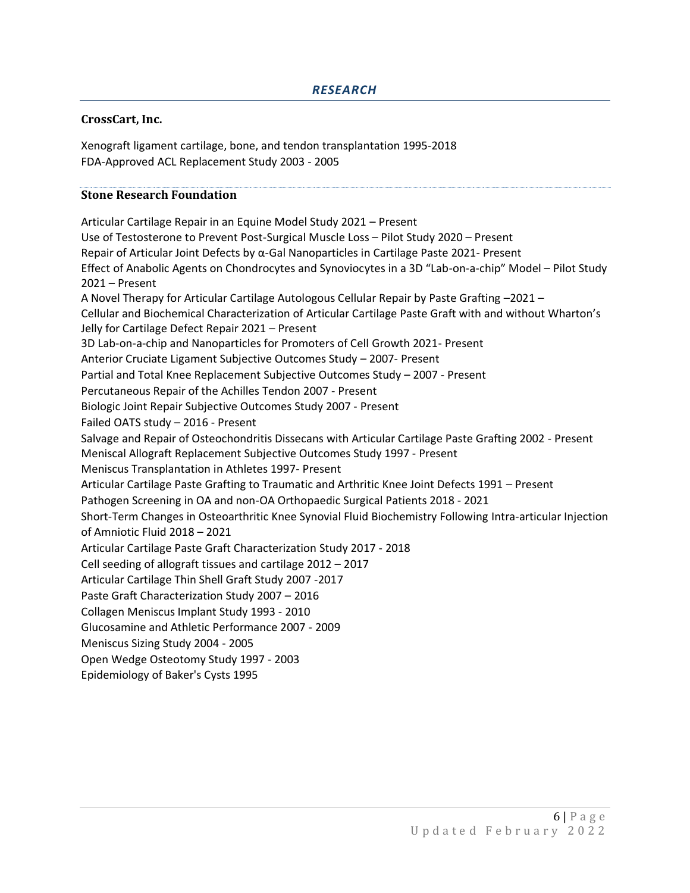# *RESEARCH*

## **CrossCart, Inc.**

Xenograft ligament cartilage, bone, and tendon transplantation 1995-2018 FDA-Approved ACL Replacement Study 2003 - 2005

## **Stone Research Foundation**

Articular Cartilage Repair in an Equine Model Study 2021 – Present Use of Testosterone to Prevent Post-Surgical Muscle Loss – Pilot Study 2020 – Present Repair of Articular Joint Defects by α-Gal Nanoparticles in Cartilage Paste 2021- Present Effect of Anabolic Agents on Chondrocytes and Synoviocytes in a 3D "Lab-on-a-chip" Model – Pilot Study 2021 – Present A Novel Therapy for Articular Cartilage Autologous Cellular Repair by Paste Grafting –2021 – Cellular and Biochemical Characterization of Articular Cartilage Paste Graft with and without Wharton's Jelly for Cartilage Defect Repair 2021 – Present 3D Lab-on-a-chip and Nanoparticles for Promoters of Cell Growth 2021- Present Anterior Cruciate Ligament Subjective Outcomes Study – 2007- Present Partial and Total Knee Replacement Subjective Outcomes Study – 2007 - Present Percutaneous Repair of the Achilles Tendon 2007 - Present Biologic Joint Repair Subjective Outcomes Study 2007 - Present Failed OATS study – 2016 - Present Salvage and Repair of Osteochondritis Dissecans with Articular Cartilage Paste Grafting 2002 - Present Meniscal Allograft Replacement Subjective Outcomes Study 1997 - Present Meniscus Transplantation in Athletes 1997- Present Articular Cartilage Paste Grafting to Traumatic and Arthritic Knee Joint Defects 1991 – Present Pathogen Screening in OA and non-OA Orthopaedic Surgical Patients 2018 - 2021 Short-Term Changes in Osteoarthritic Knee Synovial Fluid Biochemistry Following Intra-articular Injection of Amniotic Fluid 2018 – 2021 Articular Cartilage Paste Graft Characterization Study 2017 - 2018 Cell seeding of allograft tissues and cartilage 2012 – 2017 Articular Cartilage Thin Shell Graft Study 2007 -2017 Paste Graft Characterization Study 2007 – 2016 Collagen Meniscus Implant Study 1993 - 2010 Glucosamine and Athletic Performance 2007 - 2009 Meniscus Sizing Study 2004 - 2005 Open Wedge Osteotomy Study 1997 - 2003 Epidemiology of Baker's Cysts 1995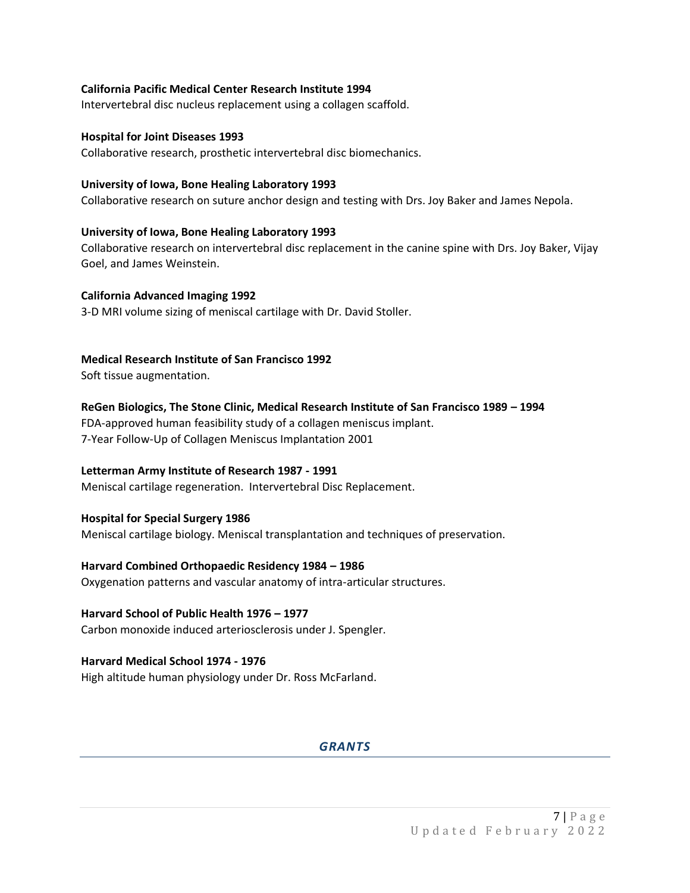#### **California Pacific Medical Center Research Institute 1994**

Intervertebral disc nucleus replacement using a collagen scaffold.

#### **Hospital for Joint Diseases 1993**

Collaborative research, prosthetic intervertebral disc biomechanics.

#### **University of Iowa, Bone Healing Laboratory 1993**

Collaborative research on suture anchor design and testing with Drs. Joy Baker and James Nepola.

#### **University of Iowa, Bone Healing Laboratory 1993**

Collaborative research on intervertebral disc replacement in the canine spine with Drs. Joy Baker, Vijay Goel, and James Weinstein.

#### **California Advanced Imaging 1992**

3-D MRI volume sizing of meniscal cartilage with Dr. David Stoller.

#### **Medical Research Institute of San Francisco 1992**

Soft tissue augmentation.

**ReGen Biologics, The Stone Clinic, Medical Research Institute of San Francisco 1989 – 1994** FDA-approved human feasibility study of a collagen meniscus implant. 7-Year Follow-Up of Collagen Meniscus Implantation 2001

#### **Letterman Army Institute of Research 1987 - 1991**

Meniscal cartilage regeneration. Intervertebral Disc Replacement.

#### **Hospital for Special Surgery 1986**

Meniscal cartilage biology. Meniscal transplantation and techniques of preservation.

#### **Harvard Combined Orthopaedic Residency 1984 – 1986**

Oxygenation patterns and vascular anatomy of intra-articular structures.

#### **Harvard School of Public Health 1976 – 1977**

Carbon monoxide induced arteriosclerosis under J. Spengler.

#### **Harvard Medical School 1974 - 1976**

High altitude human physiology under Dr. Ross McFarland.

## *GRANTS*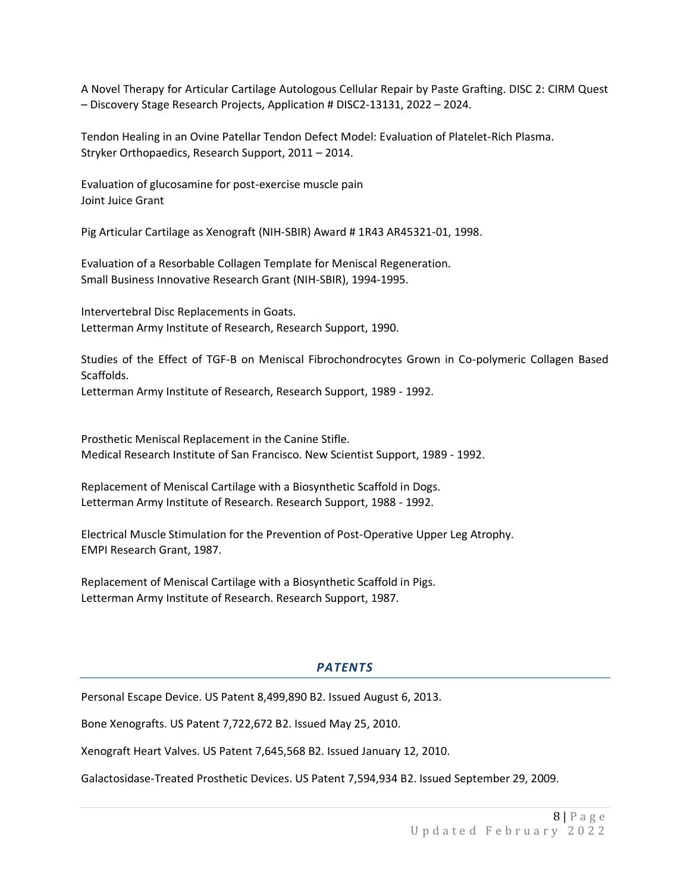A Novel Therapy for Articular Cartilage Autologous Cellular Repair by Paste Grafting. DISC 2: CIRM Quest – Discovery Stage Research Projects, Application # DISC2-13131, 2022 – 2024.

Tendon Healing in an Ovine Patellar Tendon Defect Model: Evaluation of Platelet-Rich Plasma. Stryker Orthopaedics, Research Support, 2011 – 2014.

Evaluation of glucosamine for post-exercise muscle pain Joint Juice Grant

Pig Articular Cartilage as Xenograft (NIH-SBIR) Award # 1R43 AR45321-01, 1998.

Evaluation of a Resorbable Collagen Template for Meniscal Regeneration. Small Business Innovative Research Grant (NIH-SBIR), 1994-1995.

Intervertebral Disc Replacements in Goats. Letterman Army Institute of Research, Research Support, 1990.

Studies of the Effect of TGF-B on Meniscal Fibrochondrocytes Grown in Co-polymeric Collagen Based Scaffolds.

Letterman Army Institute of Research, Research Support, 1989 - 1992.

Prosthetic Meniscal Replacement in the Canine Stifle. Medical Research Institute of San Francisco. New Scientist Support, 1989 - 1992.

Replacement of Meniscal Cartilage with a Biosynthetic Scaffold in Dogs. Letterman Army Institute of Research. Research Support, 1988 - 1992.

Electrical Muscle Stimulation for the Prevention of Post-Operative Upper Leg Atrophy. EMPI Research Grant, 1987.

Replacement of Meniscal Cartilage with a Biosynthetic Scaffold in Pigs. Letterman Army Institute of Research. Research Support, 1987.

## *PATENTS*

Personal Escape Device. US Patent 8,499,890 B2. Issued August 6, 2013.

Bone Xenografts. US Patent 7,722,672 B2. Issued May 25, 2010.

Xenograft Heart Valves. US Patent 7,645,568 B2. Issued January 12, 2010.

Galactosidase-Treated Prosthetic Devices. US Patent 7,594,934 B2. Issued September 29, 2009.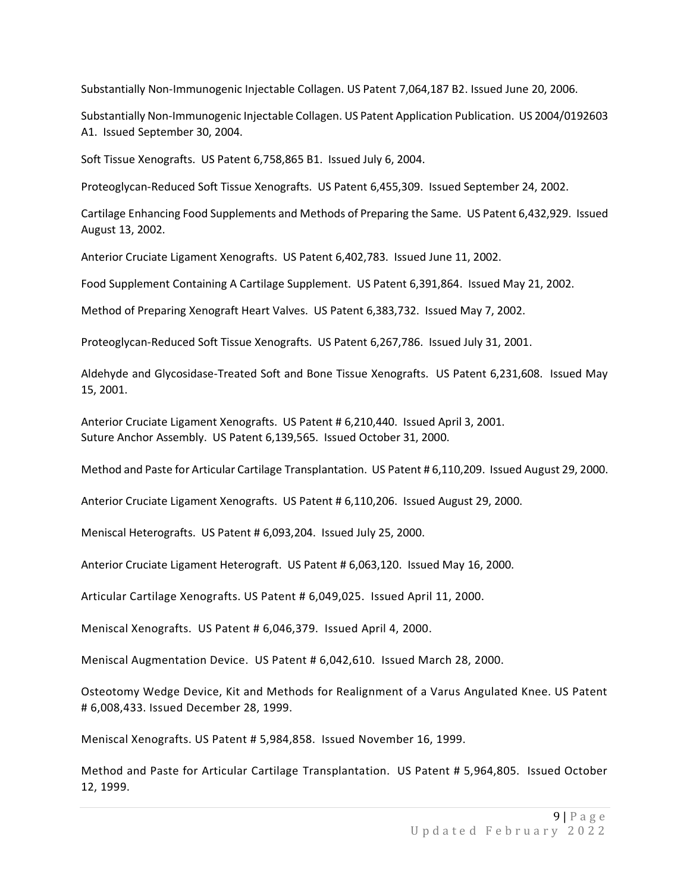Substantially Non-Immunogenic Injectable Collagen. US Patent 7,064,187 B2. Issued June 20, 2006.

Substantially Non-Immunogenic Injectable Collagen. US Patent Application Publication. US 2004/0192603 A1. Issued September 30, 2004.

Soft Tissue Xenografts. US Patent 6,758,865 B1. Issued July 6, 2004.

Proteoglycan-Reduced Soft Tissue Xenografts. US Patent 6,455,309. Issued September 24, 2002.

Cartilage Enhancing Food Supplements and Methods of Preparing the Same. US Patent 6,432,929. Issued August 13, 2002.

Anterior Cruciate Ligament Xenografts. US Patent 6,402,783. Issued June 11, 2002.

Food Supplement Containing A Cartilage Supplement. US Patent 6,391,864. Issued May 21, 2002.

Method of Preparing Xenograft Heart Valves. US Patent 6,383,732. Issued May 7, 2002.

Proteoglycan-Reduced Soft Tissue Xenografts. US Patent 6,267,786. Issued July 31, 2001.

Aldehyde and Glycosidase-Treated Soft and Bone Tissue Xenografts. US Patent 6,231,608. Issued May 15, 2001.

Anterior Cruciate Ligament Xenografts. US Patent # 6,210,440. Issued April 3, 2001. Suture Anchor Assembly. US Patent 6,139,565. Issued October 31, 2000.

Method and Paste for Articular Cartilage Transplantation. US Patent # 6,110,209. Issued August 29, 2000.

Anterior Cruciate Ligament Xenografts. US Patent # 6,110,206. Issued August 29, 2000.

Meniscal Heterografts. US Patent # 6,093,204. Issued July 25, 2000.

Anterior Cruciate Ligament Heterograft. US Patent # 6,063,120. Issued May 16, 2000.

Articular Cartilage Xenografts. US Patent # 6,049,025. Issued April 11, 2000.

Meniscal Xenografts. US Patent # 6,046,379. Issued April 4, 2000.

Meniscal Augmentation Device. US Patent # 6,042,610. Issued March 28, 2000.

Osteotomy Wedge Device, Kit and Methods for Realignment of a Varus Angulated Knee. US Patent # 6,008,433. Issued December 28, 1999.

Meniscal Xenografts. US Patent # 5,984,858. Issued November 16, 1999.

Method and Paste for Articular Cartilage Transplantation. US Patent # 5,964,805. Issued October 12, 1999.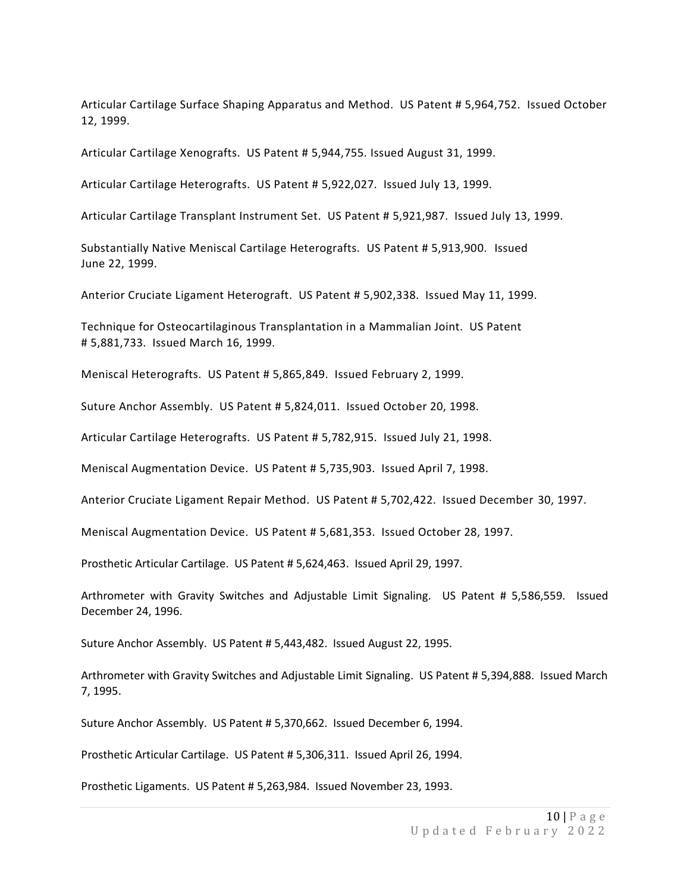Articular Cartilage Surface Shaping Apparatus and Method. US Patent # 5,964,752. Issued October 12, 1999.

Articular Cartilage Xenografts. US Patent # 5,944,755. Issued August 31, 1999.

Articular Cartilage Heterografts. US Patent # 5,922,027. Issued July 13, 1999.

Articular Cartilage Transplant Instrument Set. US Patent # 5,921,987. Issued July 13, 1999.

Substantially Native Meniscal Cartilage Heterografts. US Patent # 5,913,900. Issued June 22, 1999.

Anterior Cruciate Ligament Heterograft. US Patent # 5,902,338. Issued May 11, 1999.

Technique for Osteocartilaginous Transplantation in a Mammalian Joint. US Patent # 5,881,733. Issued March 16, 1999.

Meniscal Heterografts. US Patent # 5,865,849. Issued February 2, 1999.

Suture Anchor Assembly. US Patent # 5,824,011. Issued October 20, 1998.

Articular Cartilage Heterografts. US Patent # 5,782,915. Issued July 21, 1998.

Meniscal Augmentation Device. US Patent # 5,735,903. Issued April 7, 1998.

Anterior Cruciate Ligament Repair Method. US Patent # 5,702,422. Issued December 30, 1997.

Meniscal Augmentation Device. US Patent # 5,681,353. Issued October 28, 1997.

Prosthetic Articular Cartilage. US Patent # 5,624,463. Issued April 29, 1997.

Arthrometer with Gravity Switches and Adjustable Limit Signaling. US Patent # 5,586,559. Issued December 24, 1996.

Suture Anchor Assembly. US Patent # 5,443,482. Issued August 22, 1995.

Arthrometer with Gravity Switches and Adjustable Limit Signaling. US Patent # 5,394,888. Issued March 7, 1995.

Suture Anchor Assembly. US Patent # 5,370,662. Issued December 6, 1994.

Prosthetic Articular Cartilage. US Patent # 5,306,311. Issued April 26, 1994.

Prosthetic Ligaments. US Patent # 5,263,984. Issued November 23, 1993.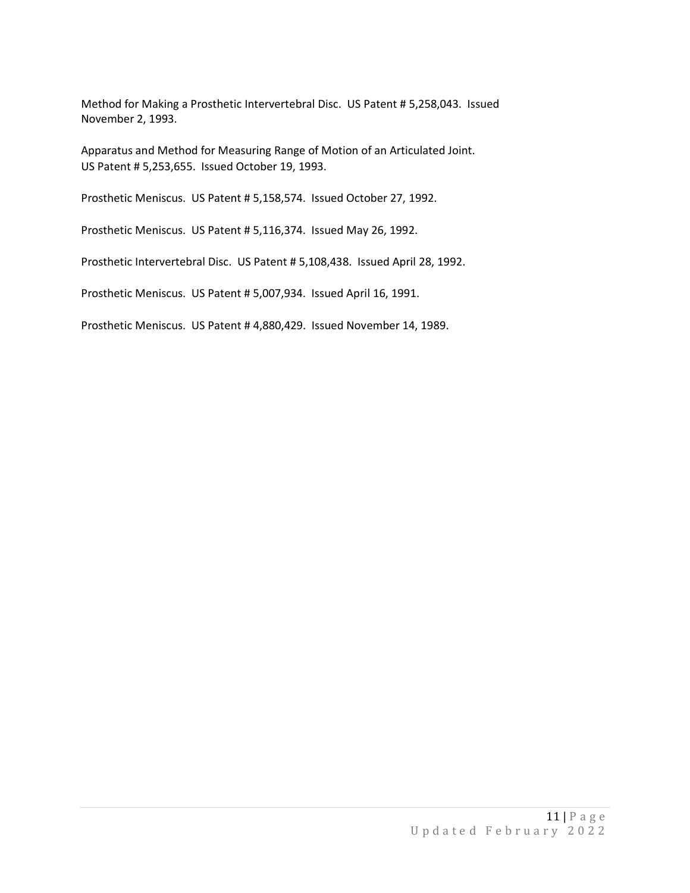Method for Making a Prosthetic Intervertebral Disc. US Patent # 5,258,043. Issued November 2, 1993.

Apparatus and Method for Measuring Range of Motion of an Articulated Joint. US Patent # 5,253,655. Issued October 19, 1993.

Prosthetic Meniscus. US Patent # 5,158,574. Issued October 27, 1992.

Prosthetic Meniscus. US Patent # 5,116,374. Issued May 26, 1992.

Prosthetic Intervertebral Disc. US Patent # 5,108,438. Issued April 28, 1992.

Prosthetic Meniscus. US Patent # 5,007,934. Issued April 16, 1991.

Prosthetic Meniscus. US Patent # 4,880,429. Issued November 14, 1989.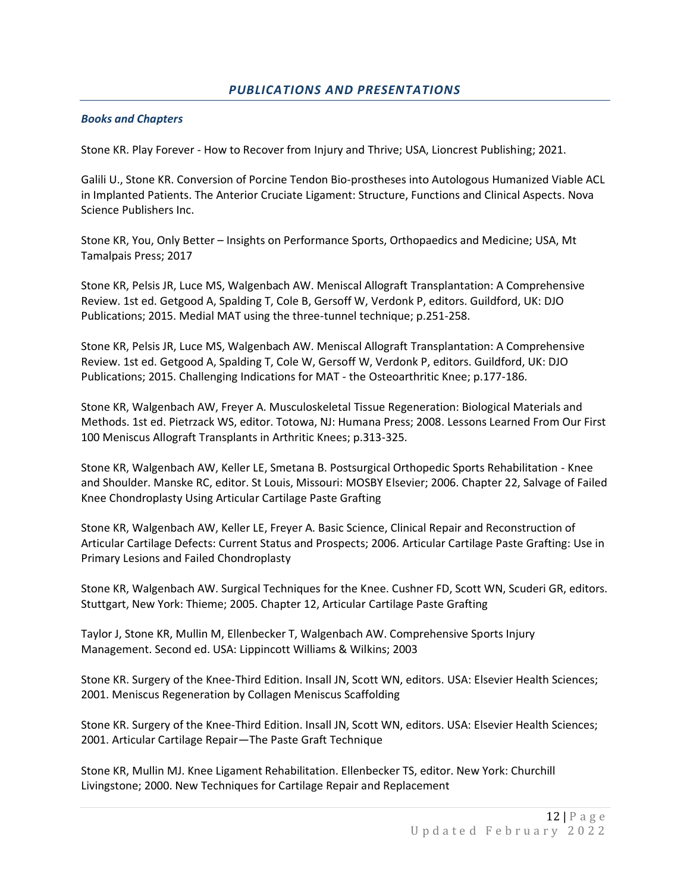## *PUBLICATIONS AND PRESENTATIONS*

#### *Books and Chapters*

Stone KR. Play Forever - How to Recover from Injury and Thrive; USA, Lioncrest Publishing; 2021.

Galili U., Stone KR. Conversion of Porcine Tendon Bio-prostheses into Autologous Humanized Viable ACL in Implanted Patients. The Anterior Cruciate Ligament: Structure, Functions and Clinical Aspects. Nova Science Publishers Inc.

Stone KR, You, Only Better – Insights on Performance Sports, Orthopaedics and Medicine; USA, Mt Tamalpais Press; 2017

Stone KR, Pelsis JR, Luce MS, Walgenbach AW. Meniscal Allograft Transplantation: A Comprehensive Review. 1st ed. Getgood A, Spalding T, Cole B, Gersoff W, Verdonk P, editors. Guildford, UK: DJO Publications; 2015. Medial MAT using the three-tunnel technique; p.251-258.

Stone KR, Pelsis JR, Luce MS, Walgenbach AW. Meniscal Allograft Transplantation: A Comprehensive Review. 1st ed. Getgood A, Spalding T, Cole W, Gersoff W, Verdonk P, editors. Guildford, UK: DJO Publications; 2015. Challenging Indications for MAT - the Osteoarthritic Knee; p.177-186.

Stone KR, Walgenbach AW, Freyer A. Musculoskeletal Tissue Regeneration: Biological Materials and Methods. 1st ed. Pietrzack WS, editor. Totowa, NJ: Humana Press; 2008. Lessons Learned From Our First 100 Meniscus Allograft Transplants in Arthritic Knees; p.313-325.

Stone KR, Walgenbach AW, Keller LE, Smetana B. Postsurgical Orthopedic Sports Rehabilitation - Knee and Shoulder. Manske RC, editor. St Louis, Missouri: MOSBY Elsevier; 2006. Chapter 22, Salvage of Failed Knee Chondroplasty Using Articular Cartilage Paste Grafting

Stone KR, Walgenbach AW, Keller LE, Freyer A. Basic Science, Clinical Repair and Reconstruction of Articular Cartilage Defects: Current Status and Prospects; 2006. Articular Cartilage Paste Grafting: Use in Primary Lesions and Failed Chondroplasty

Stone KR, Walgenbach AW. Surgical Techniques for the Knee. Cushner FD, Scott WN, Scuderi GR, editors. Stuttgart, New York: Thieme; 2005. Chapter 12, Articular Cartilage Paste Grafting

Taylor J, Stone KR, Mullin M, Ellenbecker T, Walgenbach AW. Comprehensive Sports Injury Management. Second ed. USA: Lippincott Williams & Wilkins; 2003

Stone KR. Surgery of the Knee-Third Edition. Insall JN, Scott WN, editors. USA: Elsevier Health Sciences; 2001. Meniscus Regeneration by Collagen Meniscus Scaffolding

Stone KR. Surgery of the Knee-Third Edition. Insall JN, Scott WN, editors. USA: Elsevier Health Sciences; 2001. Articular Cartilage Repair—The Paste Graft Technique

Stone KR, Mullin MJ. Knee Ligament Rehabilitation. Ellenbecker TS, editor. New York: Churchill Livingstone; 2000. New Techniques for Cartilage Repair and Replacement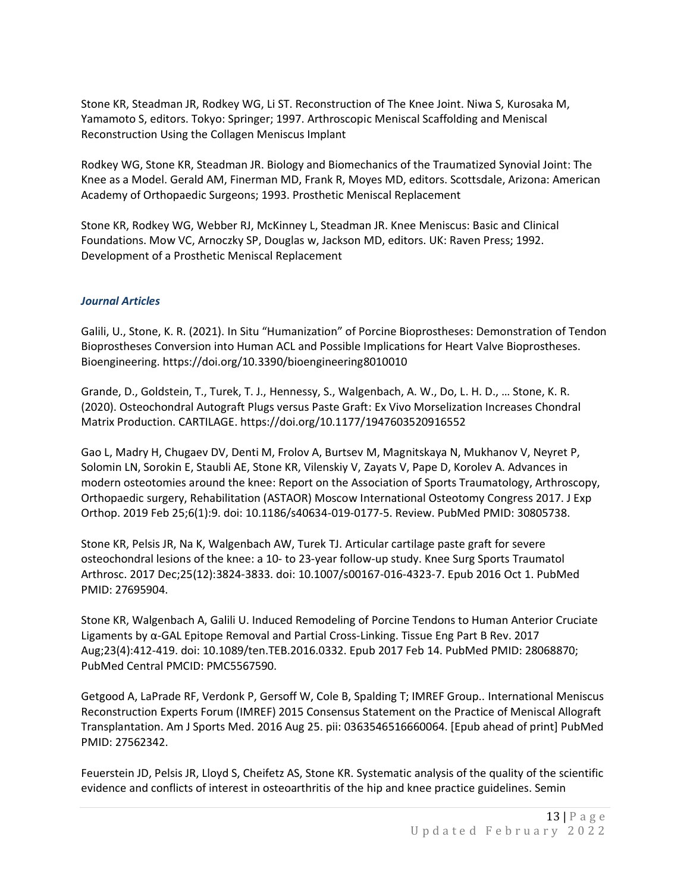Stone KR, Steadman JR, Rodkey WG, Li ST. Reconstruction of The Knee Joint. Niwa S, Kurosaka M, Yamamoto S, editors. Tokyo: Springer; 1997. Arthroscopic Meniscal Scaffolding and Meniscal Reconstruction Using the Collagen Meniscus Implant

Rodkey WG, Stone KR, Steadman JR. Biology and Biomechanics of the Traumatized Synovial Joint: The Knee as a Model. Gerald AM, Finerman MD, Frank R, Moyes MD, editors. Scottsdale, Arizona: American Academy of Orthopaedic Surgeons; 1993. Prosthetic Meniscal Replacement

Stone KR, Rodkey WG, Webber RJ, McKinney L, Steadman JR. Knee Meniscus: Basic and Clinical Foundations. Mow VC, Arnoczky SP, Douglas w, Jackson MD, editors. UK: Raven Press; 1992. Development of a Prosthetic Meniscal Replacement

## *Journal Articles*

Galili, U., Stone, K. R. (2021). In Situ "Humanization" of Porcine Bioprostheses: Demonstration of Tendon Bioprostheses Conversion into Human ACL and Possible Implications for Heart Valve Bioprostheses. Bioengineering. https://doi.org/10.3390/bioengineering8010010

Grande, D., Goldstein, T., Turek, T. J., Hennessy, S., Walgenbach, A. W., Do, L. H. D., … Stone, K. R. (2020). Osteochondral Autograft Plugs versus Paste Graft: Ex Vivo Morselization Increases Chondral Matrix Production. CARTILAGE. https://doi.org/10.1177/1947603520916552

Gao L, Madry H, Chugaev DV, Denti M, Frolov A, Burtsev M, Magnitskaya N, Mukhanov V, Neyret P, Solomin LN, Sorokin E, Staubli AE, Stone KR, Vilenskiy V, Zayats V, Pape D, Korolev A. Advances in modern osteotomies around the knee: Report on the Association of Sports Traumatology, Arthroscopy, Orthopaedic surgery, Rehabilitation (ASTAOR) Moscow International Osteotomy Congress 2017. J Exp Orthop. 2019 Feb 25;6(1):9. doi: 10.1186/s40634-019-0177-5. Review. PubMed PMID: 30805738.

Stone KR, Pelsis JR, Na K, Walgenbach AW, Turek TJ. [Articular](https://www.ncbi.nlm.nih.gov/pubmed/27695904) cartilage paste graft for severe [osteochondral](https://www.ncbi.nlm.nih.gov/pubmed/27695904) lesions of the knee: a 10- to 23-year follow-up study. Knee Surg Sports Traumatol Arthrosc. 2017 Dec;25(12):3824-3833. doi: 10.1007/s00167-016-4323-7. Epub 2016 Oct 1. PubMed PMID: 27695904.

Stone KR, Walgenbach A, Galili U. Induced [Remodeling](https://www.ncbi.nlm.nih.gov/pubmed/28068870) of Porcine Tendons to Human Anterior Cruciate Ligaments by α-GAL Epitope Removal and Partial [Cross-Linking.](https://www.ncbi.nlm.nih.gov/pubmed/28068870) Tissue Eng Part B Rev. 2017 Aug;23(4):412-419. doi: 10.1089/ten.TEB.2016.0332. Epub 2017 Feb 14. PubMed PMID: 28068870; PubMed Central PMCID: PMC5567590.

Getgood A, LaPrade RF, Verdonk P, Gersoff W, Cole B, Spalding T; IMREF Group.. [International](https://www.ncbi.nlm.nih.gov/pubmed/27562342) Meniscus [Reconstruction](https://www.ncbi.nlm.nih.gov/pubmed/27562342) Experts Forum (IMREF) 2015 Consensus Statement on the Practice of Meniscal Allograft [Transplantation.](https://www.ncbi.nlm.nih.gov/pubmed/27562342) Am J Sports Med. 2016 Aug 25. pii: 0363546516660064. [Epub ahead of print] PubMed PMID: 27562342.

Feuerstein JD, Pelsis JR, Lloyd S, Cheifetz AS, Stone KR. [Systematic](https://www.ncbi.nlm.nih.gov/pubmed/26522136) analysis of the quality of the scientific evidence and conflicts of interest in [osteoarthritis](https://www.ncbi.nlm.nih.gov/pubmed/26522136) of the hip and knee practice guidelines. Semin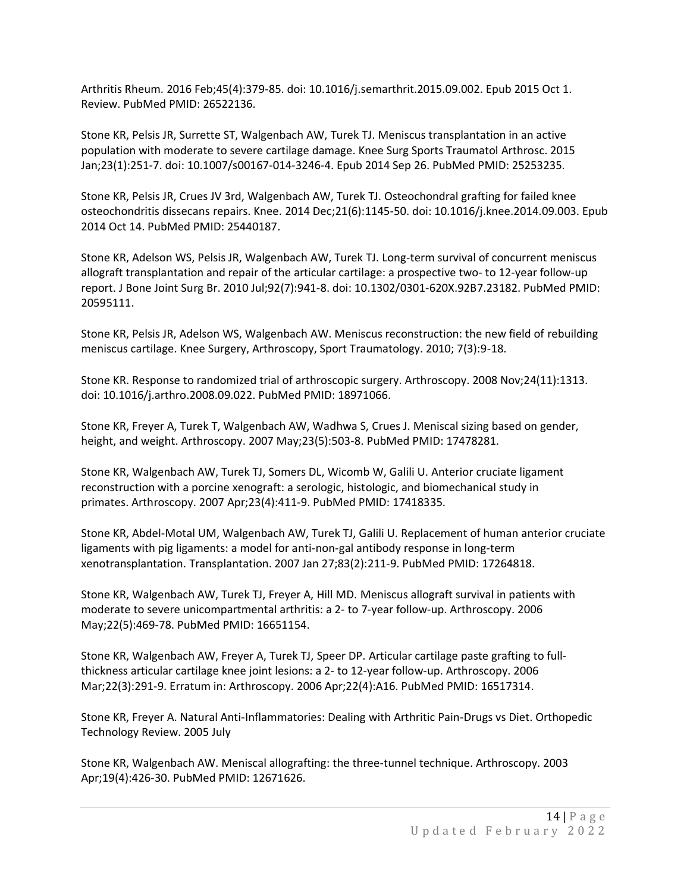Arthritis Rheum. 2016 Feb;45(4):379-85. doi: 10.1016/j.semarthrit.2015.09.002. Epub 2015 Oct 1. Review. PubMed PMID: 26522136.

Stone KR, Pelsis JR, Surrette ST, Walgenbach AW, Turek TJ. Meniscus [transplantation](https://www.ncbi.nlm.nih.gov/pubmed/25253235) in an active [population](https://www.ncbi.nlm.nih.gov/pubmed/25253235) with moderate to severe cartilage damage. Knee Surg Sports Traumatol Arthrosc. 2015 Jan;23(1):251-7. doi: 10.1007/s00167-014-3246-4. Epub 2014 Sep 26. PubMed PMID: 25253235.

Stone KR, Pelsis JR, Crues JV 3rd, Walgenbach AW, Turek TJ. [Osteochondral](https://www.ncbi.nlm.nih.gov/pubmed/25440187) grafting for failed knee [osteochondritis](https://www.ncbi.nlm.nih.gov/pubmed/25440187) dissecans repairs. Knee. 2014 Dec;21(6):1145-50. doi: 10.1016/j.knee.2014.09.003. Epub 2014 Oct 14. PubMed PMID: 25440187.

Stone KR, Adelson WS, Pelsis JR, Walgenbach AW, Turek TJ. Long-term survival of [concurrent](https://www.ncbi.nlm.nih.gov/pubmed/20595111) meniscus allograft [transplantation](https://www.ncbi.nlm.nih.gov/pubmed/20595111) and repair of the articular cartilage: a prospective two- to 12-year follow-up [report.](https://www.ncbi.nlm.nih.gov/pubmed/20595111) J Bone Joint Surg Br. 2010 Jul;92(7):941-8. doi: 10.1302/0301-620X.92B7.23182. PubMed PMID: 20595111.

Stone KR, Pelsis JR, Adelson WS, Walgenbach AW. Meniscus reconstruction: the new field of rebuilding meniscus cartilage. Knee Surgery, Arthroscopy, Sport Traumatology. 2010; 7(3):9-18.

Stone KR. Response to randomized trial of [arthroscopic](https://www.ncbi.nlm.nih.gov/pubmed/18971066) surgery. Arthroscopy. 2008 Nov;24(11):1313. doi: 10.1016/j.arthro.2008.09.022. PubMed PMID: 18971066.

Stone KR, Freyer A, Turek T, Walgenbach AW, Wadhwa S, Crues J. [Meniscal](https://www.ncbi.nlm.nih.gov/pubmed/17478281) sizing based on gender, height, and [weight.](https://www.ncbi.nlm.nih.gov/pubmed/17478281) Arthroscopy. 2007 May;23(5):503-8. PubMed PMID: 17478281.

Stone KR, Walgenbach AW, Turek TJ, Somers DL, Wicomb W, Galili U. Anterior cruciate [ligament](https://www.ncbi.nlm.nih.gov/pubmed/17418335) [reconstruction](https://www.ncbi.nlm.nih.gov/pubmed/17418335) with a porcine xenograft: a serologic, histologic, and biomechanical study in [primates.](https://www.ncbi.nlm.nih.gov/pubmed/17418335) Arthroscopy. 2007 Apr;23(4):411-9. PubMed PMID: 17418335.

Stone KR, Abdel-Motal UM, Walgenbach AW, Turek TJ, Galili U. [Replacement](https://www.ncbi.nlm.nih.gov/pubmed/17264818) of human anterior cruciate ligaments with pig ligaments: a model for [anti-non-gal](https://www.ncbi.nlm.nih.gov/pubmed/17264818) antibody response in long-term [xenotransplantation.](https://www.ncbi.nlm.nih.gov/pubmed/17264818) Transplantation. 2007 Jan 27;83(2):211-9. PubMed PMID: 17264818.

Stone KR, Walgenbach AW, Turek TJ, Freyer A, Hill MD. [Meniscus](https://www.ncbi.nlm.nih.gov/pubmed/16651154) allograft survival in patients with moderate to severe [unicompartmental](https://www.ncbi.nlm.nih.gov/pubmed/16651154) arthritis: a 2- to 7-year follow-up. Arthroscopy. 2006 May;22(5):469-78. PubMed PMID: 16651154.

Stone KR, Walgenbach AW, Freyer A, Turek TJ, Speer DP. Articular [cartilage](https://www.ncbi.nlm.nih.gov/pubmed/16517314) paste grafting to fullthickness articular cartilage knee joint lesions: a 2- to 12-year [follow-up.](https://www.ncbi.nlm.nih.gov/pubmed/16517314) Arthroscopy. 2006 Mar;22(3):291-9. Erratum in: Arthroscopy. 2006 Apr;22(4):A16. PubMed PMID: 16517314.

Stone KR, Freyer A. Natural Anti-Inflammatories: Dealing with Arthritic Pain-Drugs vs Diet. Orthopedic Technology Review. 2005 July

Stone KR, Walgenbach AW. Meniscal allografting: the [three-tunnel](https://www.ncbi.nlm.nih.gov/pubmed/12671626) technique. Arthroscopy. 2003 Apr;19(4):426-30. PubMed PMID: 12671626.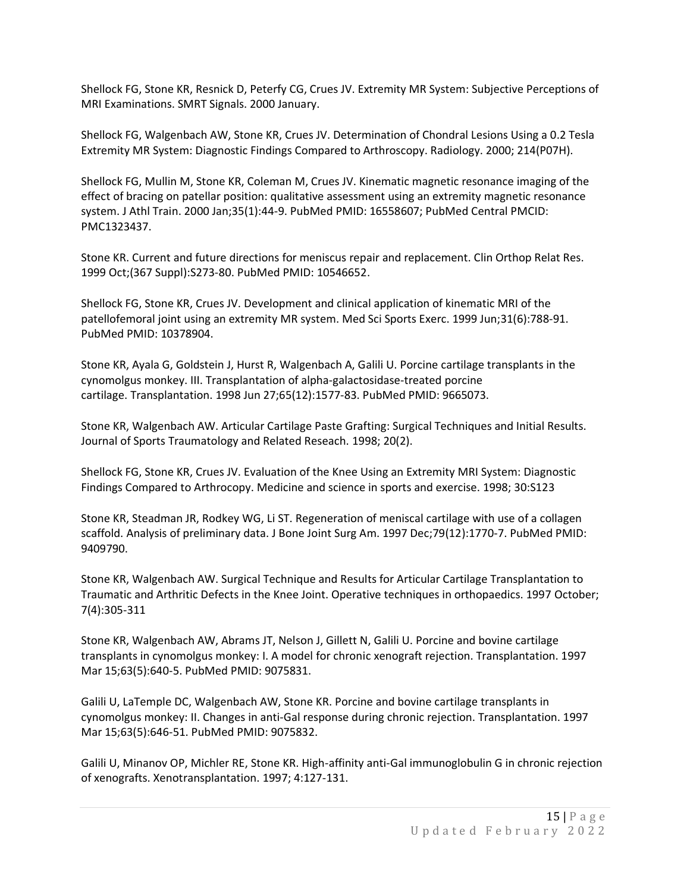Shellock FG, Stone KR, Resnick D, Peterfy CG, Crues JV. Extremity MR System: Subjective Perceptions of MRI Examinations. SMRT Signals. 2000 January.

Shellock FG, Walgenbach AW, Stone KR, Crues JV. Determination of Chondral Lesions Using a 0.2 Tesla Extremity MR System: Diagnostic Findings Compared to Arthroscopy. Radiology. 2000; 214(P07H).

Shellock FG, Mullin M, Stone KR, Coleman M, Crues JV. Kinematic magnetic [resonance](https://www.ncbi.nlm.nih.gov/pubmed/16558607) imaging of the effect of bracing on patellar position: qualitative [assessment](https://www.ncbi.nlm.nih.gov/pubmed/16558607) using an extremity magnetic resonance [system.](https://www.ncbi.nlm.nih.gov/pubmed/16558607) J Athl Train. 2000 Jan;35(1):44-9. PubMed PMID: 16558607; PubMed Central PMCID: PMC1323437.

Stone KR. Current and future directions for meniscus repair and [replacement.](https://www.ncbi.nlm.nih.gov/pubmed/10546652) Clin Orthop Relat Res. 1999 Oct;(367 Suppl):S273-80. PubMed PMID: 10546652.

Shellock FG, Stone KR, Crues JV. [Development](https://www.ncbi.nlm.nih.gov/pubmed/10378904) and clinical application of kinematic MRI of the [patellofemoral](https://www.ncbi.nlm.nih.gov/pubmed/10378904) joint using an extremity MR system. Med Sci Sports Exerc. 1999 Jun;31(6):788-91. PubMed PMID: 10378904.

Stone KR, Ayala G, Goldstein J, Hurst R, Walgenbach A, Galili U. Porcine cartilage [transplants](https://www.ncbi.nlm.nih.gov/pubmed/9665073) in the cynomolgus monkey. III. Transplantation of [alpha-galactosidase-treated](https://www.ncbi.nlm.nih.gov/pubmed/9665073) porcine [cartilage.](https://www.ncbi.nlm.nih.gov/pubmed/9665073) Transplantation. 1998 Jun 27;65(12):1577-83. PubMed PMID: 9665073.

Stone KR, Walgenbach AW. Articular Cartilage Paste Grafting: Surgical Techniques and Initial Results. Journal of Sports Traumatology and Related Reseach. 1998; 20(2).

Shellock FG, Stone KR, Crues JV. Evaluation of the Knee Using an Extremity MRI System: Diagnostic Findings Compared to Arthrocopy. Medicine and science in sports and exercise. 1998; 30:S123

Stone KR, Steadman JR, Rodkey WG, Li ST. [Regeneration](https://www.ncbi.nlm.nih.gov/pubmed/9409790) of meniscal cartilage with use of a collagen scaffold. Analysis of [preliminary](https://www.ncbi.nlm.nih.gov/pubmed/9409790) data. J Bone Joint Surg Am. 1997 Dec;79(12):1770-7. PubMed PMID: 9409790.

Stone KR, Walgenbach AW. Surgical Technique and Results for Articular Cartilage Transplantation to Traumatic and Arthritic Defects in the Knee Joint. Operative techniques in orthopaedics. 1997 October; 7(4):305-311

Stone KR, Walgenbach AW, Abrams JT, Nelson J, Gillett N, Galili U. Porcine and bovine [cartilage](https://www.ncbi.nlm.nih.gov/pubmed/9075831) transplants in [cynomolgus](https://www.ncbi.nlm.nih.gov/pubmed/9075831) monkey: I. A model for chronic xenograft rejection. Transplantation. 1997 Mar 15;63(5):640-5. PubMed PMID: 9075831.

Galili U, LaTemple DC, Walgenbach AW, Stone KR. Porcine and bovine cartilage [transplants](https://www.ncbi.nlm.nih.gov/pubmed/9075832) in [cynomolgus](https://www.ncbi.nlm.nih.gov/pubmed/9075832) monkey: II. Changes in anti-Gal response during chronic rejection. Transplantation. 1997 Mar 15;63(5):646-51. PubMed PMID: 9075832.

Galili U, Minanov OP, Michler RE, Stone KR. High-affinity anti-Gal immunoglobulin G in chronic rejection of xenografts. Xenotransplantation. 1997; 4:127-131.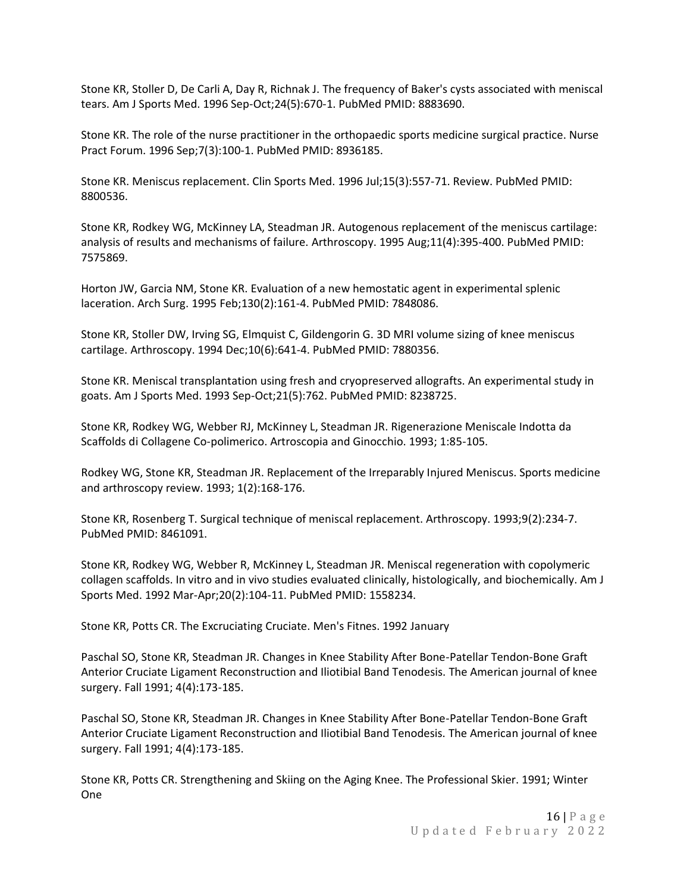Stone KR, Stoller D, De Carli A, Day R, Richnak J. The frequency of Baker's cysts [associated](https://www.ncbi.nlm.nih.gov/pubmed/8883690) with meniscal [tears.](https://www.ncbi.nlm.nih.gov/pubmed/8883690) Am J Sports Med. 1996 Sep-Oct;24(5):670-1. PubMed PMID: 8883690.

Stone KR. The role of the nurse practitioner in the [orthopaedic](https://www.ncbi.nlm.nih.gov/pubmed/8936185) sports medicine surgical practice. Nurse Pract Forum. 1996 Sep;7(3):100-1. PubMed PMID: 8936185.

Stone KR. Meniscus [replacement.](https://www.ncbi.nlm.nih.gov/pubmed/8800536) Clin Sports Med. 1996 Jul;15(3):557-71. Review. PubMed PMID: 8800536.

Stone KR, Rodkey WG, McKinney LA, Steadman JR. Autogenous [replacement](https://www.ncbi.nlm.nih.gov/pubmed/7575869) of the meniscus cartilage: analysis of results and [mechanisms](https://www.ncbi.nlm.nih.gov/pubmed/7575869) of failure. Arthroscopy. 1995 Aug;11(4):395-400. PubMed PMID: 7575869.

Horton JW, Garcia NM, Stone KR. Evaluation of a new hemostatic agent in [experimental](https://www.ncbi.nlm.nih.gov/pubmed/7848086) splenic [laceration.](https://www.ncbi.nlm.nih.gov/pubmed/7848086) Arch Surg. 1995 Feb;130(2):161-4. PubMed PMID: 7848086.

Stone KR, Stoller DW, Irving SG, Elmquist C, Gildengorin G. 3D MRI volume sizing of knee [meniscus](https://www.ncbi.nlm.nih.gov/pubmed/7880356) [cartilage.](https://www.ncbi.nlm.nih.gov/pubmed/7880356) Arthroscopy. 1994 Dec;10(6):641-4. PubMed PMID: 7880356.

Stone KR. Meniscal [transplantation](https://www.ncbi.nlm.nih.gov/pubmed/8238725) using fresh and cryopreserved allografts. An experimental study in [goats.](https://www.ncbi.nlm.nih.gov/pubmed/8238725) Am J Sports Med. 1993 Sep-Oct;21(5):762. PubMed PMID: 8238725.

Stone KR, Rodkey WG, Webber RJ, McKinney L, Steadman JR. Rigenerazione Meniscale Indotta da Scaffolds di Collagene Co-polimerico. Artroscopia and Ginocchio. 1993; 1:85-105.

Rodkey WG, Stone KR, Steadman JR. Replacement of the Irreparably Injured Meniscus. Sports medicine and arthroscopy review. 1993; 1(2):168-176.

Stone KR, Rosenberg T. Surgical technique of meniscal [replacement.](https://www.ncbi.nlm.nih.gov/pubmed/8461091) Arthroscopy. 1993;9(2):234-7. PubMed PMID: 8461091.

Stone KR, Rodkey WG, Webber R, McKinney L, Steadman JR. Meniscal [regeneration](https://www.ncbi.nlm.nih.gov/pubmed/1558234) with copolymeric collagen scaffolds. In vitro and in vivo studies evaluated clinically, histologically, and [biochemically.](https://www.ncbi.nlm.nih.gov/pubmed/1558234) Am J Sports Med. 1992 Mar-Apr;20(2):104-11. PubMed PMID: 1558234.

Stone KR, Potts CR. The Excruciating Cruciate. Men's Fitnes. 1992 January

Paschal SO, Stone KR, Steadman JR. Changes in Knee Stability After Bone-Patellar Tendon-Bone Graft Anterior Cruciate Ligament Reconstruction and Iliotibial Band Tenodesis. The American journal of knee surgery. Fall 1991; 4(4):173-185.

Paschal SO, Stone KR, Steadman JR. Changes in Knee Stability After Bone-Patellar Tendon-Bone Graft Anterior Cruciate Ligament Reconstruction and Iliotibial Band Tenodesis. The American journal of knee surgery. Fall 1991; 4(4):173-185.

Stone KR, Potts CR. Strengthening and Skiing on the Aging Knee. The Professional Skier. 1991; Winter One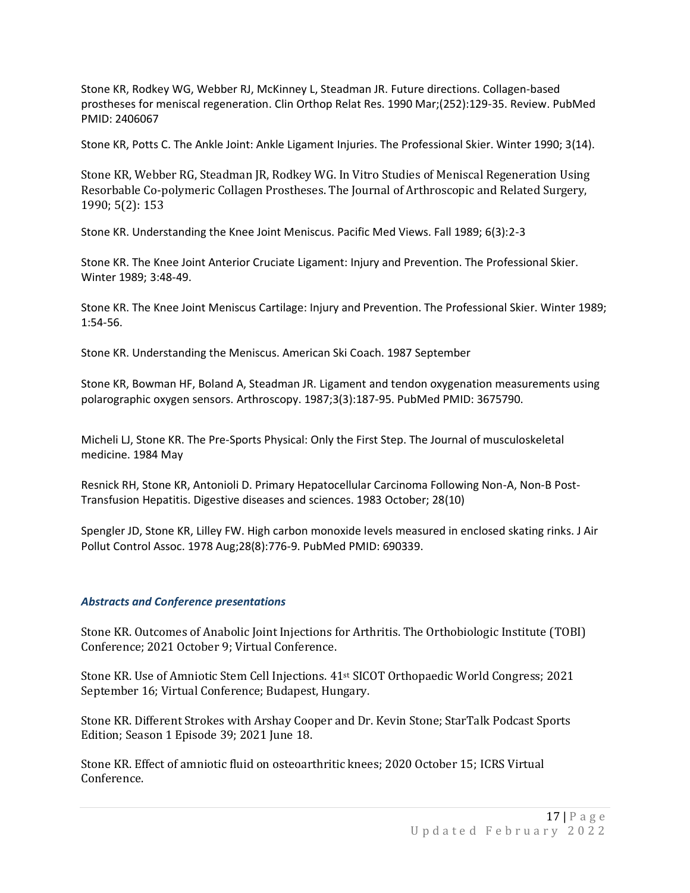Stone KR, Rodkey WG, Webber RJ, McKinney L, Steadman JR. Future directions. [Collagen-based](https://www.ncbi.nlm.nih.gov/pubmed/2406067) prostheses for meniscal [regeneration.](https://www.ncbi.nlm.nih.gov/pubmed/2406067) Clin Orthop Relat Res. 1990 Mar;(252):129-35. Review. PubMed PMID: 2406067

Stone KR, Potts C. The Ankle Joint: Ankle Ligament Injuries. The Professional Skier. Winter 1990; 3(14).

Stone KR, Webber RG, Steadman JR, Rodkey WG. In Vitro Studies of Meniscal Regeneration Using Resorbable Co-polymeric Collagen Prostheses. The Journal of Arthroscopic and Related Surgery, 1990; 5(2): 153

Stone KR. Understanding the Knee Joint Meniscus. Pacific Med Views. Fall 1989; 6(3):2-3

Stone KR. The Knee Joint Anterior Cruciate Ligament: Injury and Prevention. The Professional Skier. Winter 1989; 3:48-49.

Stone KR. The Knee Joint Meniscus Cartilage: Injury and Prevention. The Professional Skier. Winter 1989; 1:54-56.

Stone KR. Understanding the Meniscus. American Ski Coach. 1987 September

Stone KR, Bowman HF, Boland A, Steadman JR. Ligament and tendon oxygenation [measurements](https://www.ncbi.nlm.nih.gov/pubmed/3675790) using [polarographic](https://www.ncbi.nlm.nih.gov/pubmed/3675790) oxygen sensors. Arthroscopy. 1987;3(3):187-95. PubMed PMID: 3675790.

Micheli LJ, Stone KR. The Pre-Sports Physical: Only the First Step. The Journal of musculoskeletal medicine. 1984 May

Resnick RH, Stone KR, Antonioli D. Primary Hepatocellular Carcinoma Following Non-A, Non-B Post-Transfusion Hepatitis. Digestive diseases and sciences. 1983 October; 28(10)

Spengler JD, Stone KR, Lilley FW. High carbon [monoxide](https://www.ncbi.nlm.nih.gov/pubmed/690339) levels measured in enclosed skating rinks. J Air Pollut Control Assoc. 1978 Aug;28(8):776-9. PubMed PMID: 690339.

## *Abstracts and Conference presentations*

Stone KR. Outcomes of Anabolic Joint Injections for Arthritis. The Orthobiologic Institute (TOBI) Conference; 2021 October 9; Virtual Conference.

Stone KR. Use of Amniotic Stem Cell Injections. 41st SICOT Orthopaedic World Congress; 2021 September 16; Virtual Conference; Budapest, Hungary.

Stone KR. Different Strokes with Arshay Cooper and Dr. Kevin Stone; StarTalk Podcast Sports Edition; Season 1 Episode 39; 2021 June 18.

Stone KR. Effect of amniotic fluid on osteoarthritic knees; 2020 October 15; ICRS Virtual Conference.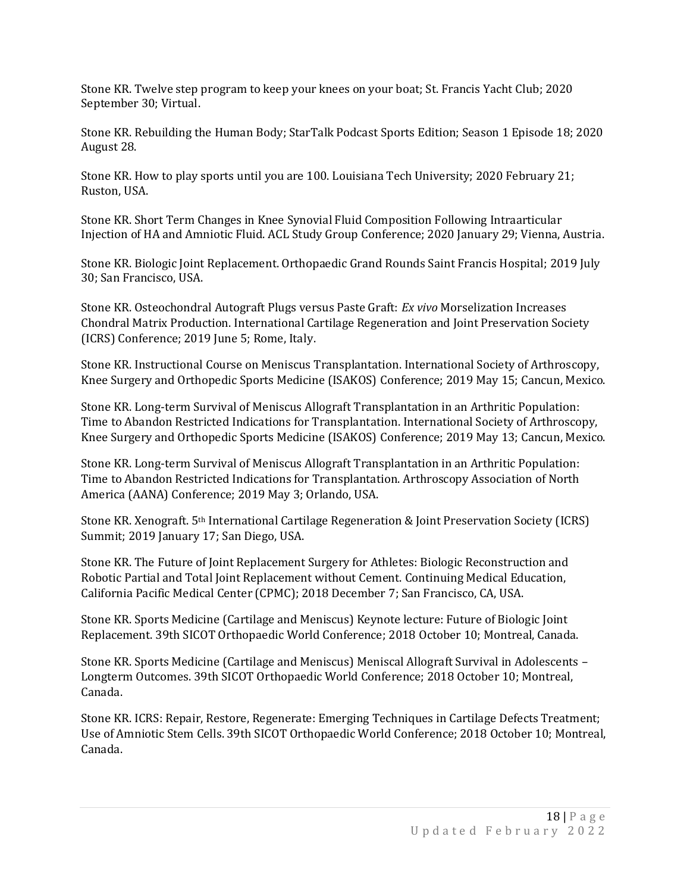Stone KR. Twelve step program to keep your knees on your boat; St. Francis Yacht Club; 2020 September 30; Virtual.

Stone KR. Rebuilding the Human Body; StarTalk Podcast Sports Edition; Season 1 Episode 18; 2020 August 28.

Stone KR. How to play sports until you are 100. Louisiana Tech University; 2020 February 21; Ruston, USA.

Stone KR. Short Term Changes in Knee Synovial Fluid Composition Following Intraarticular Injection of HA and Amniotic Fluid. ACL Study Group Conference; 2020 January 29; Vienna, Austria.

Stone KR. Biologic Joint Replacement. Orthopaedic Grand Rounds Saint Francis Hospital; 2019 July 30; San Francisco, USA.

Stone KR. Osteochondral Autograft Plugs versus Paste Graft: *Ex vivo* Morselization Increases Chondral Matrix Production. International Cartilage Regeneration and Joint Preservation Society (ICRS) Conference; 2019 June 5; Rome, Italy.

Stone KR. Instructional Course on Meniscus Transplantation. International Society of Arthroscopy, Knee Surgery and Orthopedic Sports Medicine (ISAKOS) Conference; 2019 May 15; Cancun, Mexico.

Stone KR. Long-term Survival of Meniscus Allograft Transplantation in an Arthritic Population: Time to Abandon Restricted Indications for Transplantation. International Society of Arthroscopy, Knee Surgery and Orthopedic Sports Medicine (ISAKOS) Conference; 2019 May 13; Cancun, Mexico.

Stone KR. Long-term Survival of Meniscus Allograft Transplantation in an Arthritic Population: Time to Abandon Restricted Indications for Transplantation. Arthroscopy Association of North America (AANA) Conference; 2019 May 3; Orlando, USA.

Stone KR. Xenograft. 5th International Cartilage Regeneration & Joint Preservation Society (ICRS) Summit; 2019 January 17; San Diego, USA.

Stone KR. The Future of Joint Replacement Surgery for Athletes: Biologic Reconstruction and Robotic Partial and Total Joint Replacement without Cement. Continuing Medical Education, California Pacific Medical Center (CPMC); 2018 December 7; San Francisco, CA, USA.

Stone KR. Sports Medicine (Cartilage and Meniscus) Keynote lecture: Future of Biologic Joint Replacement. 39th SICOT Orthopaedic World Conference; 2018 October 10; Montreal, Canada.

Stone KR. Sports Medicine (Cartilage and Meniscus) Meniscal Allograft Survival in Adolescents – Longterm Outcomes. 39th SICOT Orthopaedic World Conference; 2018 October 10; Montreal, Canada.

Stone KR. ICRS: Repair, Restore, Regenerate: Emerging Techniques in Cartilage Defects Treatment; Use of Amniotic Stem Cells. 39th SICOT Orthopaedic World Conference; 2018 October 10; Montreal, Canada.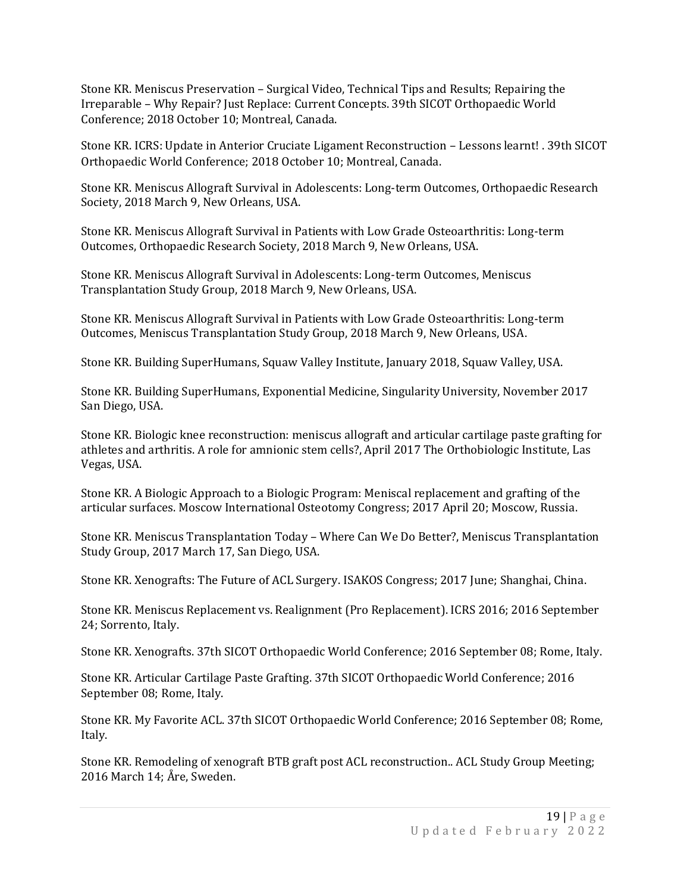Stone KR. Meniscus Preservation – Surgical Video, Technical Tips and Results; Repairing the Irreparable – Why Repair? Just Replace: Current Concepts. 39th SICOT Orthopaedic World Conference; 2018 October 10; Montreal, Canada.

Stone KR. ICRS: Update in Anterior Cruciate Ligament Reconstruction – Lessons learnt! . 39th SICOT Orthopaedic World Conference; 2018 October 10; Montreal, Canada.

Stone KR. Meniscus Allograft Survival in Adolescents: Long-term Outcomes, Orthopaedic Research Society, 2018 March 9, New Orleans, USA.

Stone KR. Meniscus Allograft Survival in Patients with Low Grade Osteoarthritis: Long-term Outcomes, Orthopaedic Research Society, 2018 March 9, New Orleans, USA.

Stone KR. Meniscus Allograft Survival in Adolescents: Long-term Outcomes, Meniscus Transplantation Study Group, 2018 March 9, New Orleans, USA.

Stone KR. Meniscus Allograft Survival in Patients with Low Grade Osteoarthritis: Long-term Outcomes, Meniscus Transplantation Study Group, 2018 March 9, New Orleans, USA.

Stone KR. Building SuperHumans, Squaw Valley Institute, January 2018, Squaw Valley, USA.

Stone KR. Building SuperHumans, Exponential Medicine, Singularity University, November 2017 San Diego, USA.

Stone KR. Biologic knee reconstruction: meniscus allograft and articular cartilage paste grafting for athletes and arthritis. A role for amnionic stem cells?, April 2017 The Orthobiologic Institute, Las Vegas, USA.

Stone KR. A Biologic Approach to a Biologic Program: Meniscal replacement and grafting of the articular surfaces. Moscow International Osteotomy Congress; 2017 April 20; Moscow, Russia.

Stone KR. Meniscus Transplantation Today – Where Can We Do Better?, Meniscus Transplantation Study Group, 2017 March 17, San Diego, USA.

Stone KR. Xenografts: The Future of ACL Surgery. ISAKOS Congress; 2017 June; Shanghai, China.

Stone KR. Meniscus Replacement vs. Realignment (Pro Replacement). ICRS 2016; 2016 September 24; Sorrento, Italy.

Stone KR. Xenografts. 37th SICOT Orthopaedic World Conference; 2016 September 08; Rome, Italy.

Stone KR. Articular Cartilage Paste Grafting. 37th SICOT Orthopaedic World Conference; 2016 September 08; Rome, Italy.

Stone KR. My Favorite ACL. 37th SICOT Orthopaedic World Conference; 2016 September 08; Rome, Italy.

Stone KR. Remodeling of xenograft BTB graft post ACL reconstruction.. ACL Study Group Meeting; 2016 March 14; Åre, Sweden.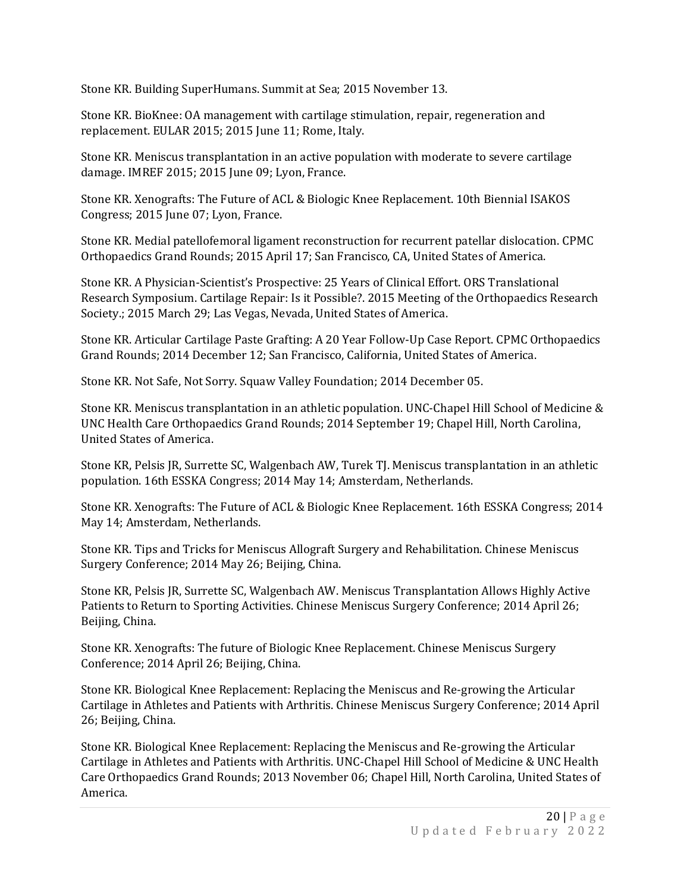Stone KR. Building SuperHumans. Summit at Sea; 2015 November 13.

Stone KR. BioKnee: OA management with cartilage stimulation, repair, regeneration and replacement. EULAR 2015; 2015 June 11; Rome, Italy.

Stone KR. Meniscus transplantation in an active population with moderate to severe cartilage damage. IMREF 2015; 2015 June 09; Lyon, France.

Stone KR. Xenografts: The Future of ACL & Biologic Knee Replacement. 10th Biennial ISAKOS Congress; 2015 June 07; Lyon, France.

Stone KR. Medial patellofemoral ligament reconstruction for recurrent patellar dislocation. CPMC Orthopaedics Grand Rounds; 2015 April 17; San Francisco, CA, United States of America.

Stone KR. A Physician-Scientist's Prospective: 25 Years of Clinical Effort. ORS Translational Research Symposium. Cartilage Repair: Is it Possible?. 2015 Meeting of the Orthopaedics Research Society.; 2015 March 29; Las Vegas, Nevada, United States of America.

Stone KR. Articular Cartilage Paste Grafting: A 20 Year Follow-Up Case Report. CPMC Orthopaedics Grand Rounds; 2014 December 12; San Francisco, California, United States of America.

Stone KR. Not Safe, Not Sorry. Squaw Valley Foundation; 2014 December 05.

Stone KR. Meniscus transplantation in an athletic population. UNC-Chapel Hill School of Medicine & UNC Health Care Orthopaedics Grand Rounds; 2014 September 19; Chapel Hill, North Carolina, United States of America.

Stone KR, Pelsis JR, Surrette SC, Walgenbach AW, Turek TJ. Meniscus transplantation in an athletic population. 16th ESSKA Congress; 2014 May 14; Amsterdam, Netherlands.

Stone KR. Xenografts: The Future of ACL & Biologic Knee Replacement. 16th ESSKA Congress; 2014 May 14; Amsterdam, Netherlands.

Stone KR. Tips and Tricks for Meniscus Allograft Surgery and Rehabilitation. Chinese Meniscus Surgery Conference; 2014 May 26; Beijing, China.

Stone KR, Pelsis JR, Surrette SC, Walgenbach AW. Meniscus Transplantation Allows Highly Active Patients to Return to Sporting Activities. Chinese Meniscus Surgery Conference; 2014 April 26; Beijing, China.

Stone KR. Xenografts: The future of Biologic Knee Replacement. Chinese Meniscus Surgery Conference; 2014 April 26; Beijing, China.

Stone KR. Biological Knee Replacement: Replacing the Meniscus and Re-growing the Articular Cartilage in Athletes and Patients with Arthritis. Chinese Meniscus Surgery Conference; 2014 April 26; Beijing, China.

Stone KR. Biological Knee Replacement: Replacing the Meniscus and Re-growing the Articular Cartilage in Athletes and Patients with Arthritis. UNC-Chapel Hill School of Medicine & UNC Health Care Orthopaedics Grand Rounds; 2013 November 06; Chapel Hill, North Carolina, United States of America.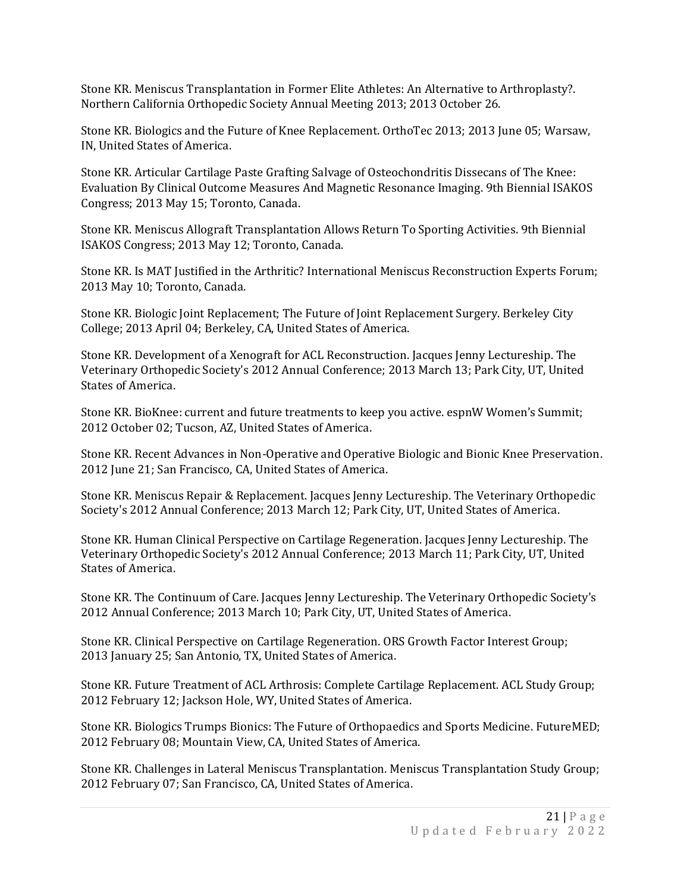Stone KR. Meniscus Transplantation in Former Elite Athletes: An Alternative to Arthroplasty?. Northern California Orthopedic Society Annual Meeting 2013; 2013 October 26.

Stone KR. Biologics and the Future of Knee Replacement. OrthoTec 2013; 2013 June 05; Warsaw, IN, United States of America.

Stone KR. Articular Cartilage Paste Grafting Salvage of Osteochondritis Dissecans of The Knee: Evaluation By Clinical Outcome Measures And Magnetic Resonance Imaging. 9th Biennial ISAKOS Congress; 2013 May 15; Toronto, Canada.

Stone KR. Meniscus Allograft Transplantation Allows Return To Sporting Activities. 9th Biennial ISAKOS Congress; 2013 May 12; Toronto, Canada.

Stone KR. Is MAT Justified in the Arthritic? International Meniscus Reconstruction Experts Forum; 2013 May 10; Toronto, Canada.

Stone KR. Biologic Joint Replacement; The Future of Joint Replacement Surgery. Berkeley City College; 2013 April 04; Berkeley, CA, United States of America.

Stone KR. Development of a Xenograft for ACL Reconstruction. Jacques Jenny Lectureship. The Veterinary Orthopedic Society's 2012 Annual Conference; 2013 March 13; Park City, UT, United States of America.

Stone KR. BioKnee: current and future treatments to keep you active. espnW Women's Summit; 2012 October 02; Tucson, AZ, United States of America.

Stone KR. Recent Advances in Non-Operative and Operative Biologic and Bionic Knee Preservation. 2012 June 21; San Francisco, CA, United States of America.

Stone KR. Meniscus Repair & Replacement. Jacques Jenny Lectureship. The Veterinary Orthopedic Society's 2012 Annual Conference; 2013 March 12; Park City, UT, United States of America.

Stone KR. Human Clinical Perspective on Cartilage Regeneration. Jacques Jenny Lectureship. The Veterinary Orthopedic Society's 2012 Annual Conference; 2013 March 11; Park City, UT, United States of America.

Stone KR. The Continuum of Care. Jacques Jenny Lectureship. The Veterinary Orthopedic Society's 2012 Annual Conference; 2013 March 10; Park City, UT, United States of America.

Stone KR. Clinical Perspective on Cartilage Regeneration. ORS Growth Factor Interest Group; 2013 January 25; San Antonio, TX, United States of America.

Stone KR. Future Treatment of ACL Arthrosis: Complete Cartilage Replacement. ACL Study Group; 2012 February 12; Jackson Hole, WY, United States of America.

Stone KR. Biologics Trumps Bionics: The Future of Orthopaedics and Sports Medicine. FutureMED; 2012 February 08; Mountain View, CA, United States of America.

Stone KR. Challenges in Lateral Meniscus Transplantation. Meniscus Transplantation Study Group; 2012 February 07; San Francisco, CA, United States of America.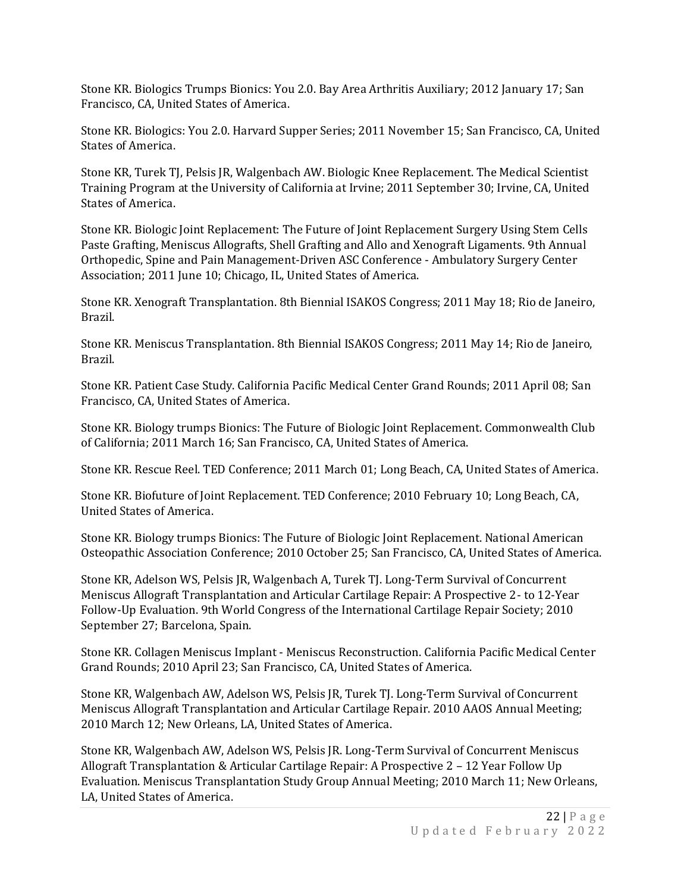Stone KR. Biologics Trumps Bionics: You 2.0. Bay Area Arthritis Auxiliary; 2012 January 17; San Francisco, CA, United States of America.

Stone KR. Biologics: You 2.0. Harvard Supper Series; 2011 November 15; San Francisco, CA, United States of America.

Stone KR, Turek TJ, Pelsis JR, Walgenbach AW. Biologic Knee Replacement. The Medical Scientist Training Program at the University of California at Irvine; 2011 September 30; Irvine, CA, United States of America.

Stone KR. Biologic Joint Replacement: The Future of Joint Replacement Surgery Using Stem Cells Paste Grafting, Meniscus Allografts, Shell Grafting and Allo and Xenograft Ligaments. 9th Annual Orthopedic, Spine and Pain Management-Driven ASC Conference - Ambulatory Surgery Center Association; 2011 June 10; Chicago, IL, United States of America.

Stone KR. Xenograft Transplantation. 8th Biennial ISAKOS Congress; 2011 May 18; Rio de Janeiro, Brazil.

Stone KR. Meniscus Transplantation. 8th Biennial ISAKOS Congress; 2011 May 14; Rio de Janeiro, Brazil.

Stone KR. Patient Case Study. California Pacific Medical Center Grand Rounds; 2011 April 08; San Francisco, CA, United States of America.

Stone KR. Biology trumps Bionics: The Future of Biologic Joint Replacement. Commonwealth Club of California; 2011 March 16; San Francisco, CA, United States of America.

Stone KR. Rescue Reel. TED Conference; 2011 March 01; Long Beach, CA, United States of America.

Stone KR. Biofuture of Joint Replacement. TED Conference; 2010 February 10; Long Beach, CA, United States of America.

Stone KR. Biology trumps Bionics: The Future of Biologic Joint Replacement. National American Osteopathic Association Conference; 2010 October 25; San Francisco, CA, United States of America.

Stone KR, Adelson WS, Pelsis JR, Walgenbach A, Turek TJ. Long-Term Survival of Concurrent Meniscus Allograft Transplantation and Articular Cartilage Repair: A Prospective 2- to 12-Year Follow-Up Evaluation. 9th World Congress of the International Cartilage Repair Society; 2010 September 27; Barcelona, Spain.

Stone KR. Collagen Meniscus Implant - Meniscus Reconstruction. California Pacific Medical Center Grand Rounds; 2010 April 23; San Francisco, CA, United States of America.

Stone KR, Walgenbach AW, Adelson WS, Pelsis JR, Turek TJ. Long-Term Survival of Concurrent Meniscus Allograft Transplantation and Articular Cartilage Repair. 2010 AAOS Annual Meeting; 2010 March 12; New Orleans, LA, United States of America.

Stone KR, Walgenbach AW, Adelson WS, Pelsis JR. Long-Term Survival of Concurrent Meniscus Allograft Transplantation & Articular Cartilage Repair: A Prospective 2 – 12 Year Follow Up Evaluation. Meniscus Transplantation Study Group Annual Meeting; 2010 March 11; New Orleans, LA, United States of America.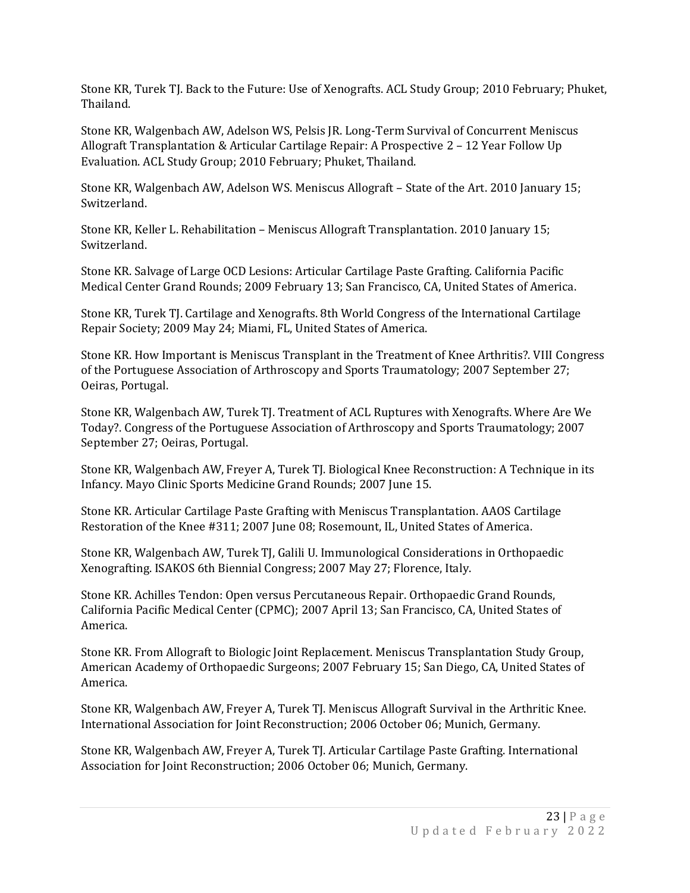Stone KR, Turek TJ. Back to the Future: Use of Xenografts. ACL Study Group; 2010 February; Phuket, Thailand.

Stone KR, Walgenbach AW, Adelson WS, Pelsis JR. Long-Term Survival of Concurrent Meniscus Allograft Transplantation & Articular Cartilage Repair: A Prospective 2 – 12 Year Follow Up Evaluation. ACL Study Group; 2010 February; Phuket, Thailand.

Stone KR, Walgenbach AW, Adelson WS. Meniscus Allograft – State of the Art. 2010 January 15; Switzerland.

Stone KR, Keller L. Rehabilitation – Meniscus Allograft Transplantation. 2010 January 15; Switzerland.

Stone KR. Salvage of Large OCD Lesions: Articular Cartilage Paste Grafting. California Pacific Medical Center Grand Rounds; 2009 February 13; San Francisco, CA, United States of America.

Stone KR, Turek TJ. Cartilage and Xenografts. 8th World Congress of the International Cartilage Repair Society; 2009 May 24; Miami, FL, United States of America.

Stone KR. How Important is Meniscus Transplant in the Treatment of Knee Arthritis?. VIII Congress of the Portuguese Association of Arthroscopy and Sports Traumatology; 2007 September 27; Oeiras, Portugal.

Stone KR, Walgenbach AW, Turek TJ. Treatment of ACL Ruptures with Xenografts. Where Are We Today?. Congress of the Portuguese Association of Arthroscopy and Sports Traumatology; 2007 September 27; Oeiras, Portugal.

Stone KR, Walgenbach AW, Freyer A, Turek TJ. Biological Knee Reconstruction: A Technique in its Infancy. Mayo Clinic Sports Medicine Grand Rounds; 2007 June 15.

Stone KR. Articular Cartilage Paste Grafting with Meniscus Transplantation. AAOS Cartilage Restoration of the Knee #311; 2007 June 08; Rosemount, IL, United States of America.

Stone KR, Walgenbach AW, Turek TJ, Galili U. Immunological Considerations in Orthopaedic Xenografting. ISAKOS 6th Biennial Congress; 2007 May 27; Florence, Italy.

Stone KR. Achilles Tendon: Open versus Percutaneous Repair. Orthopaedic Grand Rounds, California Pacific Medical Center (CPMC); 2007 April 13; San Francisco, CA, United States of America.

Stone KR. From Allograft to Biologic Joint Replacement. Meniscus Transplantation Study Group, American Academy of Orthopaedic Surgeons; 2007 February 15; San Diego, CA, United States of America.

Stone KR, Walgenbach AW, Freyer A, Turek TJ. Meniscus Allograft Survival in the Arthritic Knee. International Association for Joint Reconstruction; 2006 October 06; Munich, Germany.

Stone KR, Walgenbach AW, Freyer A, Turek TJ. Articular Cartilage Paste Grafting. International Association for Joint Reconstruction; 2006 October 06; Munich, Germany.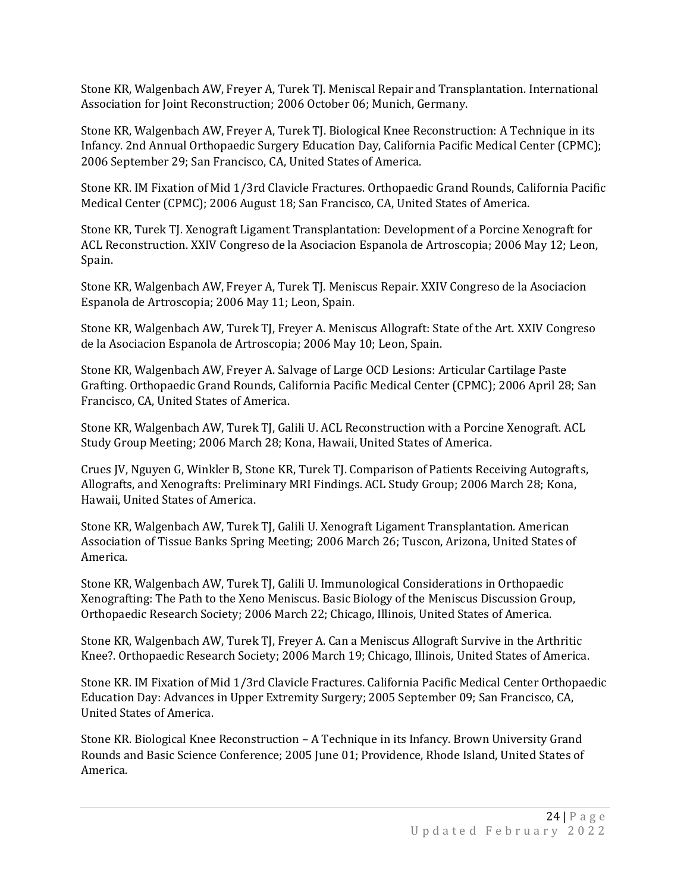Stone KR, Walgenbach AW, Freyer A, Turek TJ. Meniscal Repair and Transplantation. International Association for Joint Reconstruction; 2006 October 06; Munich, Germany.

Stone KR, Walgenbach AW, Freyer A, Turek TJ. Biological Knee Reconstruction: A Technique in its Infancy. 2nd Annual Orthopaedic Surgery Education Day, California Pacific Medical Center (CPMC); 2006 September 29; San Francisco, CA, United States of America.

Stone KR. IM Fixation of Mid 1/3rd Clavicle Fractures. Orthopaedic Grand Rounds, California Pacific Medical Center (CPMC); 2006 August 18; San Francisco, CA, United States of America.

Stone KR, Turek TJ. Xenograft Ligament Transplantation: Development of a Porcine Xenograft for ACL Reconstruction. XXIV Congreso de la Asociacion Espanola de Artroscopia; 2006 May 12; Leon, Spain.

Stone KR, Walgenbach AW, Freyer A, Turek TJ. Meniscus Repair. XXIV Congreso de la Asociacion Espanola de Artroscopia; 2006 May 11; Leon, Spain.

Stone KR, Walgenbach AW, Turek TJ, Freyer A. Meniscus Allograft: State of the Art. XXIV Congreso de la Asociacion Espanola de Artroscopia; 2006 May 10; Leon, Spain.

Stone KR, Walgenbach AW, Freyer A. Salvage of Large OCD Lesions: Articular Cartilage Paste Grafting. Orthopaedic Grand Rounds, California Pacific Medical Center (CPMC); 2006 April 28; San Francisco, CA, United States of America.

Stone KR, Walgenbach AW, Turek TJ, Galili U. ACL Reconstruction with a Porcine Xenograft. ACL Study Group Meeting; 2006 March 28; Kona, Hawaii, United States of America.

Crues JV, Nguyen G, Winkler B, Stone KR, Turek TJ. Comparison of Patients Receiving Autografts, Allografts, and Xenografts: Preliminary MRI Findings. ACL Study Group; 2006 March 28; Kona, Hawaii, United States of America.

Stone KR, Walgenbach AW, Turek TJ, Galili U. Xenograft Ligament Transplantation. American Association of Tissue Banks Spring Meeting; 2006 March 26; Tuscon, Arizona, United States of America.

Stone KR, Walgenbach AW, Turek TJ, Galili U. Immunological Considerations in Orthopaedic Xenografting: The Path to the Xeno Meniscus. Basic Biology of the Meniscus Discussion Group, Orthopaedic Research Society; 2006 March 22; Chicago, Illinois, United States of America.

Stone KR, Walgenbach AW, Turek TJ, Freyer A. Can a Meniscus Allograft Survive in the Arthritic Knee?. Orthopaedic Research Society; 2006 March 19; Chicago, Illinois, United States of America.

Stone KR. IM Fixation of Mid 1/3rd Clavicle Fractures. California Pacific Medical Center Orthopaedic Education Day: Advances in Upper Extremity Surgery; 2005 September 09; San Francisco, CA, United States of America.

Stone KR. Biological Knee Reconstruction – A Technique in its Infancy. Brown University Grand Rounds and Basic Science Conference; 2005 June 01; Providence, Rhode Island, United States of America.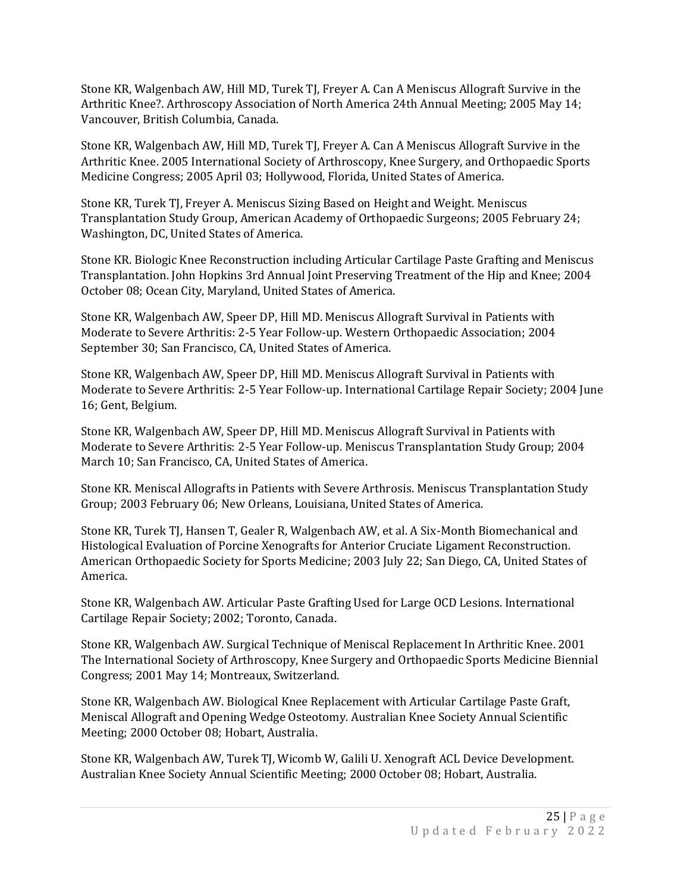Stone KR, Walgenbach AW, Hill MD, Turek TJ, Freyer A. Can A Meniscus Allograft Survive in the Arthritic Knee?. Arthroscopy Association of North America 24th Annual Meeting; 2005 May 14; Vancouver, British Columbia, Canada.

Stone KR, Walgenbach AW, Hill MD, Turek TJ, Freyer A. Can A Meniscus Allograft Survive in the Arthritic Knee. 2005 International Society of Arthroscopy, Knee Surgery, and Orthopaedic Sports Medicine Congress; 2005 April 03; Hollywood, Florida, United States of America.

Stone KR, Turek TJ, Freyer A. Meniscus Sizing Based on Height and Weight. Meniscus Transplantation Study Group, American Academy of Orthopaedic Surgeons; 2005 February 24; Washington, DC, United States of America.

Stone KR. Biologic Knee Reconstruction including Articular Cartilage Paste Grafting and Meniscus Transplantation. John Hopkins 3rd Annual Joint Preserving Treatment of the Hip and Knee; 2004 October 08; Ocean City, Maryland, United States of America.

Stone KR, Walgenbach AW, Speer DP, Hill MD. Meniscus Allograft Survival in Patients with Moderate to Severe Arthritis: 2-5 Year Follow-up. Western Orthopaedic Association; 2004 September 30; San Francisco, CA, United States of America.

Stone KR, Walgenbach AW, Speer DP, Hill MD. Meniscus Allograft Survival in Patients with Moderate to Severe Arthritis: 2-5 Year Follow-up. International Cartilage Repair Society; 2004 June 16; Gent, Belgium.

Stone KR, Walgenbach AW, Speer DP, Hill MD. Meniscus Allograft Survival in Patients with Moderate to Severe Arthritis: 2-5 Year Follow-up. Meniscus Transplantation Study Group; 2004 March 10; San Francisco, CA, United States of America.

Stone KR. Meniscal Allografts in Patients with Severe Arthrosis. Meniscus Transplantation Study Group; 2003 February 06; New Orleans, Louisiana, United States of America.

Stone KR, Turek TJ, Hansen T, Gealer R, Walgenbach AW, et al. A Six-Month Biomechanical and Histological Evaluation of Porcine Xenografts for Anterior Cruciate Ligament Reconstruction. American Orthopaedic Society for Sports Medicine; 2003 July 22; San Diego, CA, United States of America.

Stone KR, Walgenbach AW. Articular Paste Grafting Used for Large OCD Lesions. International Cartilage Repair Society; 2002; Toronto, Canada.

Stone KR, Walgenbach AW. Surgical Technique of Meniscal Replacement In Arthritic Knee. 2001 The International Society of Arthroscopy, Knee Surgery and Orthopaedic Sports Medicine Biennial Congress; 2001 May 14; Montreaux, Switzerland.

Stone KR, Walgenbach AW. Biological Knee Replacement with Articular Cartilage Paste Graft, Meniscal Allograft and Opening Wedge Osteotomy. Australian Knee Society Annual Scientific Meeting; 2000 October 08; Hobart, Australia.

Stone KR, Walgenbach AW, Turek TJ, Wicomb W, Galili U. Xenograft ACL Device Development. Australian Knee Society Annual Scientific Meeting; 2000 October 08; Hobart, Australia.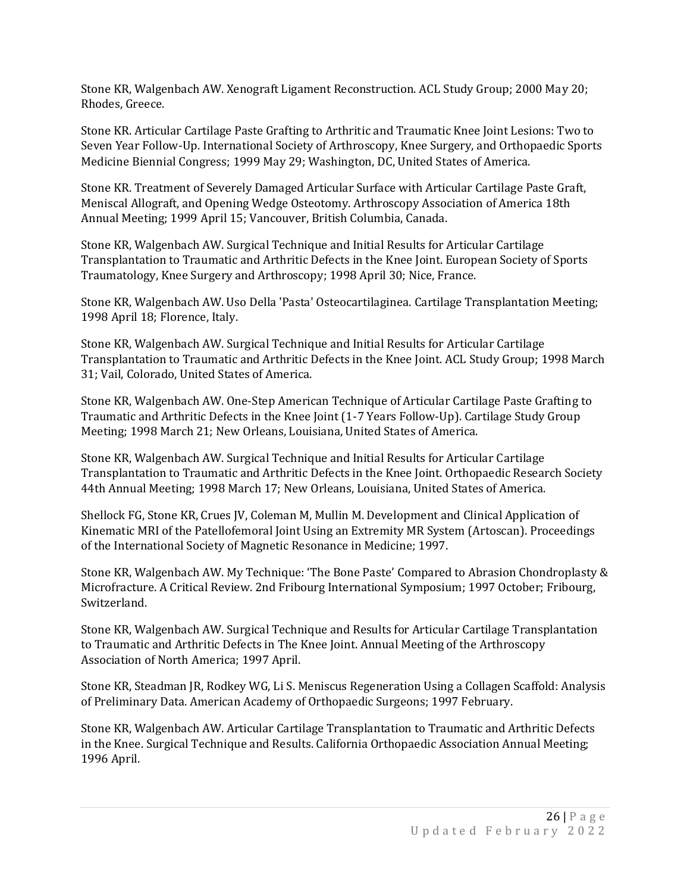Stone KR, Walgenbach AW. Xenograft Ligament Reconstruction. ACL Study Group; 2000 May 20; Rhodes, Greece.

Stone KR. Articular Cartilage Paste Grafting to Arthritic and Traumatic Knee Joint Lesions: Two to Seven Year Follow-Up. International Society of Arthroscopy, Knee Surgery, and Orthopaedic Sports Medicine Biennial Congress; 1999 May 29; Washington, DC, United States of America.

Stone KR. Treatment of Severely Damaged Articular Surface with Articular Cartilage Paste Graft, Meniscal Allograft, and Opening Wedge Osteotomy. Arthroscopy Association of America 18th Annual Meeting; 1999 April 15; Vancouver, British Columbia, Canada.

Stone KR, Walgenbach AW. Surgical Technique and Initial Results for Articular Cartilage Transplantation to Traumatic and Arthritic Defects in the Knee Joint. European Society of Sports Traumatology, Knee Surgery and Arthroscopy; 1998 April 30; Nice, France.

Stone KR, Walgenbach AW. Uso Della 'Pasta' Osteocartilaginea. Cartilage Transplantation Meeting; 1998 April 18; Florence, Italy.

Stone KR, Walgenbach AW. Surgical Technique and Initial Results for Articular Cartilage Transplantation to Traumatic and Arthritic Defects in the Knee Joint. ACL Study Group; 1998 March 31; Vail, Colorado, United States of America.

Stone KR, Walgenbach AW. One-Step American Technique of Articular Cartilage Paste Grafting to Traumatic and Arthritic Defects in the Knee Joint (1-7 Years Follow-Up). Cartilage Study Group Meeting; 1998 March 21; New Orleans, Louisiana, United States of America.

Stone KR, Walgenbach AW. Surgical Technique and Initial Results for Articular Cartilage Transplantation to Traumatic and Arthritic Defects in the Knee Joint. Orthopaedic Research Society 44th Annual Meeting; 1998 March 17; New Orleans, Louisiana, United States of America.

Shellock FG, Stone KR, Crues JV, Coleman M, Mullin M. Development and Clinical Application of Kinematic MRI of the Patellofemoral Joint Using an Extremity MR System (Artoscan). Proceedings of the International Society of Magnetic Resonance in Medicine; 1997.

Stone KR, Walgenbach AW. My Technique: 'The Bone Paste' Compared to Abrasion Chondroplasty & Microfracture. A Critical Review. 2nd Fribourg International Symposium; 1997 October; Fribourg, Switzerland.

Stone KR, Walgenbach AW. Surgical Technique and Results for Articular Cartilage Transplantation to Traumatic and Arthritic Defects in The Knee Joint. Annual Meeting of the Arthroscopy Association of North America; 1997 April.

Stone KR, Steadman JR, Rodkey WG, Li S. Meniscus Regeneration Using a Collagen Scaffold: Analysis of Preliminary Data. American Academy of Orthopaedic Surgeons; 1997 February.

Stone KR, Walgenbach AW. Articular Cartilage Transplantation to Traumatic and Arthritic Defects in the Knee. Surgical Technique and Results. California Orthopaedic Association Annual Meeting; 1996 April.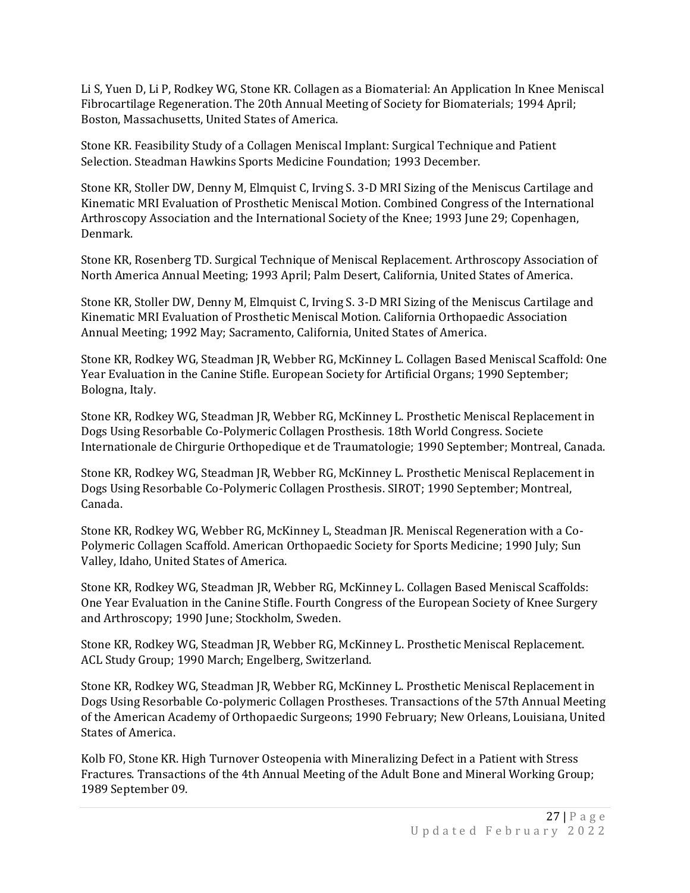Li S, Yuen D, Li P, Rodkey WG, Stone KR. Collagen as a Biomaterial: An Application In Knee Meniscal Fibrocartilage Regeneration. The 20th Annual Meeting of Society for Biomaterials; 1994 April; Boston, Massachusetts, United States of America.

Stone KR. Feasibility Study of a Collagen Meniscal Implant: Surgical Technique and Patient Selection. Steadman Hawkins Sports Medicine Foundation; 1993 December.

Stone KR, Stoller DW, Denny M, Elmquist C, Irving S. 3-D MRI Sizing of the Meniscus Cartilage and Kinematic MRI Evaluation of Prosthetic Meniscal Motion. Combined Congress of the International Arthroscopy Association and the International Society of the Knee; 1993 June 29; Copenhagen, Denmark.

Stone KR, Rosenberg TD. Surgical Technique of Meniscal Replacement. Arthroscopy Association of North America Annual Meeting; 1993 April; Palm Desert, California, United States of America.

Stone KR, Stoller DW, Denny M, Elmquist C, Irving S. 3-D MRI Sizing of the Meniscus Cartilage and Kinematic MRI Evaluation of Prosthetic Meniscal Motion. California Orthopaedic Association Annual Meeting; 1992 May; Sacramento, California, United States of America.

Stone KR, Rodkey WG, Steadman JR, Webber RG, McKinney L. Collagen Based Meniscal Scaffold: One Year Evaluation in the Canine Stifle. European Society for Artificial Organs; 1990 September; Bologna, Italy.

Stone KR, Rodkey WG, Steadman JR, Webber RG, McKinney L. Prosthetic Meniscal Replacement in Dogs Using Resorbable Co-Polymeric Collagen Prosthesis. 18th World Congress. Societe Internationale de Chirgurie Orthopedique et de Traumatologie; 1990 September; Montreal, Canada.

Stone KR, Rodkey WG, Steadman JR, Webber RG, McKinney L. Prosthetic Meniscal Replacement in Dogs Using Resorbable Co-Polymeric Collagen Prosthesis. SIROT; 1990 September; Montreal, Canada.

Stone KR, Rodkey WG, Webber RG, McKinney L, Steadman JR. Meniscal Regeneration with a Co-Polymeric Collagen Scaffold. American Orthopaedic Society for Sports Medicine; 1990 July; Sun Valley, Idaho, United States of America.

Stone KR, Rodkey WG, Steadman JR, Webber RG, McKinney L. Collagen Based Meniscal Scaffolds: One Year Evaluation in the Canine Stifle. Fourth Congress of the European Society of Knee Surgery and Arthroscopy; 1990 June; Stockholm, Sweden.

Stone KR, Rodkey WG, Steadman JR, Webber RG, McKinney L. Prosthetic Meniscal Replacement. ACL Study Group; 1990 March; Engelberg, Switzerland.

Stone KR, Rodkey WG, Steadman JR, Webber RG, McKinney L. Prosthetic Meniscal Replacement in Dogs Using Resorbable Co-polymeric Collagen Prostheses. Transactions of the 57th Annual Meeting of the American Academy of Orthopaedic Surgeons; 1990 February; New Orleans, Louisiana, United States of America.

Kolb FO, Stone KR. High Turnover Osteopenia with Mineralizing Defect in a Patient with Stress Fractures. Transactions of the 4th Annual Meeting of the Adult Bone and Mineral Working Group; 1989 September 09.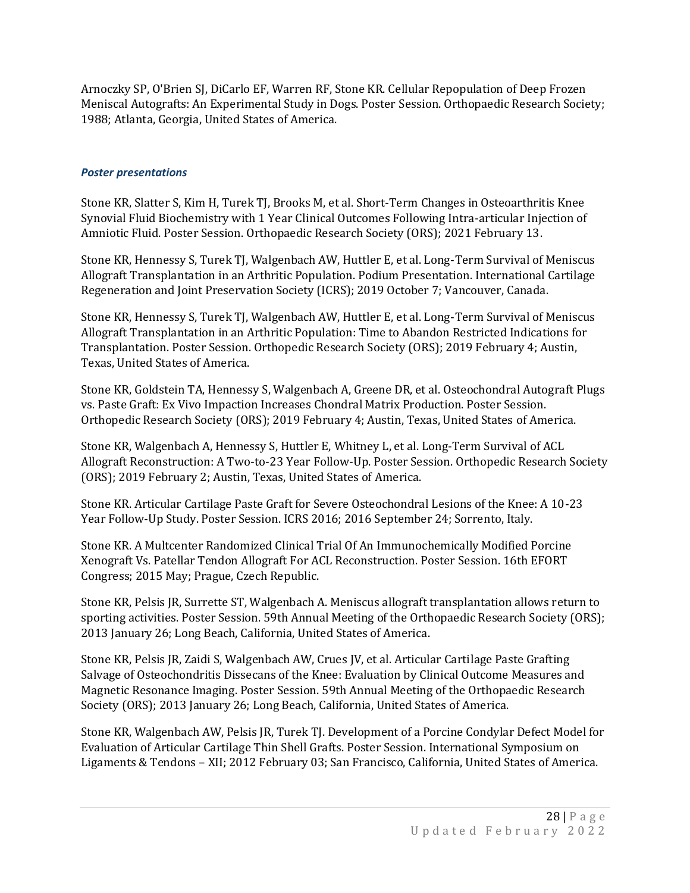Arnoczky SP, O'Brien SJ, DiCarlo EF, Warren RF, Stone KR. Cellular Repopulation of Deep Frozen Meniscal Autografts: An Experimental Study in Dogs. Poster Session. Orthopaedic Research Society; 1988; Atlanta, Georgia, United States of America.

## *Poster presentations*

Stone KR, Slatter S, Kim H, Turek TJ, Brooks M, et al. Short-Term Changes in Osteoarthritis Knee Synovial Fluid Biochemistry with 1 Year Clinical Outcomes Following Intra-articular Injection of Amniotic Fluid. Poster Session. Orthopaedic Research Society (ORS); 2021 February 13.

Stone KR, Hennessy S, Turek TJ, Walgenbach AW, Huttler E, et al. Long-Term Survival of Meniscus Allograft Transplantation in an Arthritic Population. Podium Presentation. International Cartilage Regeneration and Joint Preservation Society (ICRS); 2019 October 7; Vancouver, Canada.

Stone KR, Hennessy S, Turek TJ, Walgenbach AW, Huttler E, et al. Long-Term Survival of Meniscus Allograft Transplantation in an Arthritic Population: Time to Abandon Restricted Indications for Transplantation. Poster Session. Orthopedic Research Society (ORS); 2019 February 4; Austin, Texas, United States of America.

Stone KR, Goldstein TA, Hennessy S, Walgenbach A, Greene DR, et al. Osteochondral Autograft Plugs vs. Paste Graft: Ex Vivo Impaction Increases Chondral Matrix Production. Poster Session. Orthopedic Research Society (ORS); 2019 February 4; Austin, Texas, United States of America.

Stone KR, Walgenbach A, Hennessy S, Huttler E, Whitney L, et al. Long-Term Survival of ACL Allograft Reconstruction: A Two-to-23 Year Follow-Up. Poster Session. Orthopedic Research Society (ORS); 2019 February 2; Austin, Texas, United States of America.

Stone KR. Articular Cartilage Paste Graft for Severe Osteochondral Lesions of the Knee: A 10-23 Year Follow-Up Study. Poster Session. ICRS 2016; 2016 September 24; Sorrento, Italy.

Stone KR. A Multcenter Randomized Clinical Trial Of An Immunochemically Modified Porcine Xenograft Vs. Patellar Tendon Allograft For ACL Reconstruction. Poster Session. 16th EFORT Congress; 2015 May; Prague, Czech Republic.

Stone KR, Pelsis JR, Surrette ST, Walgenbach A. Meniscus allograft transplantation allows return to sporting activities. Poster Session. 59th Annual Meeting of the Orthopaedic Research Society (ORS); 2013 January 26; Long Beach, California, United States of America.

Stone KR, Pelsis JR, Zaidi S, Walgenbach AW, Crues JV, et al. Articular Cartilage Paste Grafting Salvage of Osteochondritis Dissecans of the Knee: Evaluation by Clinical Outcome Measures and Magnetic Resonance Imaging. Poster Session. 59th Annual Meeting of the Orthopaedic Research Society (ORS); 2013 January 26; Long Beach, California, United States of America.

Stone KR, Walgenbach AW, Pelsis JR, Turek TJ. Development of a Porcine Condylar Defect Model for Evaluation of Articular Cartilage Thin Shell Grafts. Poster Session. International Symposium on Ligaments & Tendons – XII; 2012 February 03; San Francisco, California, United States of America.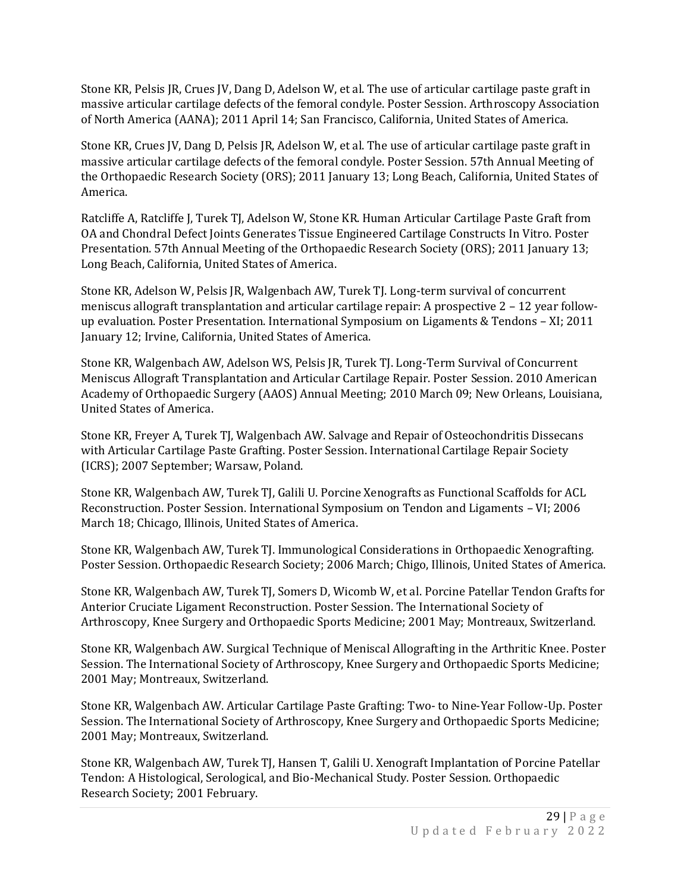Stone KR, Pelsis JR, Crues JV, Dang D, Adelson W, et al. The use of articular cartilage paste graft in massive articular cartilage defects of the femoral condyle. Poster Session. Arthroscopy Association of North America (AANA); 2011 April 14; San Francisco, California, United States of America.

Stone KR, Crues JV, Dang D, Pelsis JR, Adelson W, et al. The use of articular cartilage paste graft in massive articular cartilage defects of the femoral condyle. Poster Session. 57th Annual Meeting of the Orthopaedic Research Society (ORS); 2011 January 13; Long Beach, California, United States of America.

Ratcliffe A, Ratcliffe J, Turek TJ, Adelson W, Stone KR. Human Articular Cartilage Paste Graft from OA and Chondral Defect Joints Generates Tissue Engineered Cartilage Constructs In Vitro. Poster Presentation. 57th Annual Meeting of the Orthopaedic Research Society (ORS); 2011 January 13; Long Beach, California, United States of America.

Stone KR, Adelson W, Pelsis JR, Walgenbach AW, Turek TJ. Long-term survival of concurrent meniscus allograft transplantation and articular cartilage repair: A prospective 2 – 12 year followup evaluation. Poster Presentation. International Symposium on Ligaments & Tendons – XI; 2011 January 12; Irvine, California, United States of America.

Stone KR, Walgenbach AW, Adelson WS, Pelsis JR, Turek TJ. Long-Term Survival of Concurrent Meniscus Allograft Transplantation and Articular Cartilage Repair. Poster Session. 2010 American Academy of Orthopaedic Surgery (AAOS) Annual Meeting; 2010 March 09; New Orleans, Louisiana, United States of America.

Stone KR, Freyer A, Turek TJ, Walgenbach AW. Salvage and Repair of Osteochondritis Dissecans with Articular Cartilage Paste Grafting. Poster Session. International Cartilage Repair Society (ICRS); 2007 September; Warsaw, Poland.

Stone KR, Walgenbach AW, Turek TJ, Galili U. Porcine Xenografts as Functional Scaffolds for ACL Reconstruction. Poster Session. International Symposium on Tendon and Ligaments – VI; 2006 March 18; Chicago, Illinois, United States of America.

Stone KR, Walgenbach AW, Turek TJ. Immunological Considerations in Orthopaedic Xenografting. Poster Session. Orthopaedic Research Society; 2006 March; Chigo, Illinois, United States of America.

Stone KR, Walgenbach AW, Turek TJ, Somers D, Wicomb W, et al. Porcine Patellar Tendon Grafts for Anterior Cruciate Ligament Reconstruction. Poster Session. The International Society of Arthroscopy, Knee Surgery and Orthopaedic Sports Medicine; 2001 May; Montreaux, Switzerland.

Stone KR, Walgenbach AW. Surgical Technique of Meniscal Allografting in the Arthritic Knee. Poster Session. The International Society of Arthroscopy, Knee Surgery and Orthopaedic Sports Medicine; 2001 May; Montreaux, Switzerland.

Stone KR, Walgenbach AW. Articular Cartilage Paste Grafting: Two- to Nine-Year Follow-Up. Poster Session. The International Society of Arthroscopy, Knee Surgery and Orthopaedic Sports Medicine; 2001 May; Montreaux, Switzerland.

Stone KR, Walgenbach AW, Turek TJ, Hansen T, Galili U. Xenograft Implantation of Porcine Patellar Tendon: A Histological, Serological, and Bio-Mechanical Study. Poster Session. Orthopaedic Research Society; 2001 February.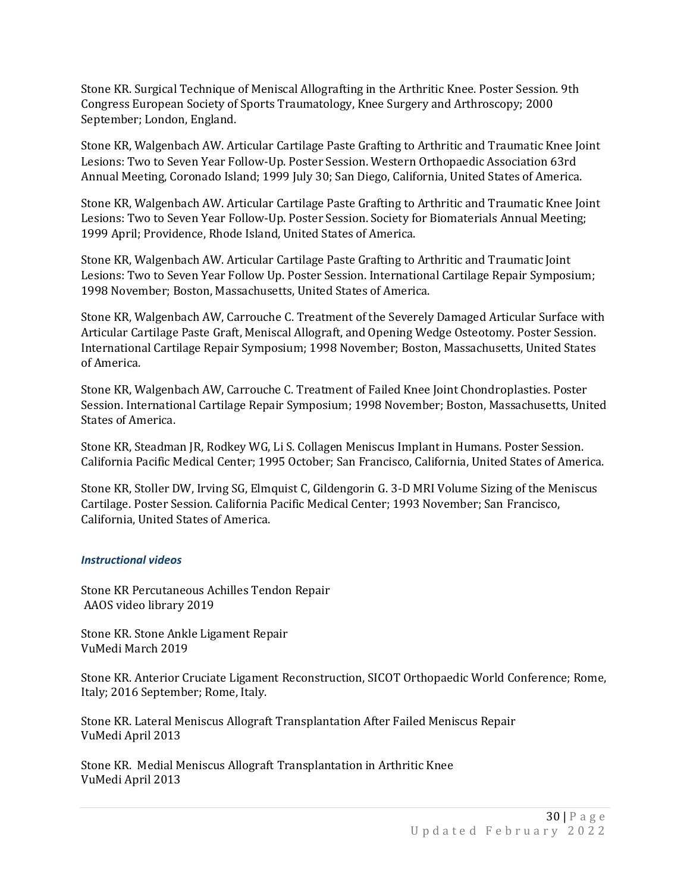Stone KR. Surgical Technique of Meniscal Allografting in the Arthritic Knee. Poster Session. 9th Congress European Society of Sports Traumatology, Knee Surgery and Arthroscopy; 2000 September; London, England.

Stone KR, Walgenbach AW. Articular Cartilage Paste Grafting to Arthritic and Traumatic Knee Joint Lesions: Two to Seven Year Follow-Up. Poster Session. Western Orthopaedic Association 63rd Annual Meeting, Coronado Island; 1999 July 30; San Diego, California, United States of America.

Stone KR, Walgenbach AW. Articular Cartilage Paste Grafting to Arthritic and Traumatic Knee Joint Lesions: Two to Seven Year Follow-Up. Poster Session. Society for Biomaterials Annual Meeting; 1999 April; Providence, Rhode Island, United States of America.

Stone KR, Walgenbach AW. Articular Cartilage Paste Grafting to Arthritic and Traumatic Joint Lesions: Two to Seven Year Follow Up. Poster Session. International Cartilage Repair Symposium; 1998 November; Boston, Massachusetts, United States of America.

Stone KR, Walgenbach AW, Carrouche C. Treatment of the Severely Damaged Articular Surface with Articular Cartilage Paste Graft, Meniscal Allograft, and Opening Wedge Osteotomy. Poster Session. International Cartilage Repair Symposium; 1998 November; Boston, Massachusetts, United States of America.

Stone KR, Walgenbach AW, Carrouche C. Treatment of Failed Knee Joint Chondroplasties. Poster Session. International Cartilage Repair Symposium; 1998 November; Boston, Massachusetts, United States of America.

Stone KR, Steadman JR, Rodkey WG, Li S. Collagen Meniscus Implant in Humans. Poster Session. California Pacific Medical Center; 1995 October; San Francisco, California, United States of America.

Stone KR, Stoller DW, Irving SG, Elmquist C, Gildengorin G. 3-D MRI Volume Sizing of the Meniscus Cartilage. Poster Session. California Pacific Medical Center; 1993 November; San Francisco, California, United States of America.

## *Instructional videos*

Stone KR Percutaneous Achilles Tendon Repair AAOS video library 2019

Stone KR. Stone Ankle Ligament Repair VuMedi March 2019

Stone KR. Anterior Cruciate Ligament Reconstruction, SICOT Orthopaedic World Conference; Rome, Italy; 2016 September; Rome, Italy.

Stone KR. Lateral Meniscus Allograft Transplantation After Failed Meniscus Repair VuMedi April 2013

Stone KR. Medial Meniscus Allograft Transplantation in Arthritic Knee VuMedi April 2013